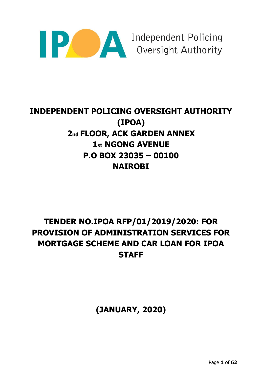

# **INDEPENDENT POLICING OVERSIGHT AUTHORITY (IPOA) 2nd FLOOR, ACK GARDEN ANNEX 1st NGONG AVENUE P.O BOX 23035 – 00100 NAIROBI**

## **TENDER NO.IPOA RFP/01/2019/2020: FOR PROVISION OF ADMINISTRATION SERVICES FOR MORTGAGE SCHEME AND CAR LOAN FOR IPOA STAFF**

**(JANUARY, 2020)**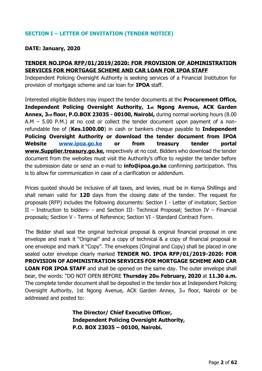## <span id="page-1-0"></span>**SECTION I – LETTER OF INVITATION (TENDER NOTICE)**

**DATE: January, 2020**

## **TENDER NO.IPOA RFP/01/2019/2020: FOR PROVISION OF ADMINISTRATION SERVICES FOR MORTGAGE SCHEME AND CAR LOAN FOR IPOA STAFF**

Independent Policing Oversight Authority is seeking services of a Financial Institution for provision of mortgage scheme and car loan for **IPOA** staff.

Interested eligible Bidders may inspect the tender documents at the **Procurement Office, Independent Policing Oversight Authority, 1st Ngong Avenue, ACK Garden Annex, 3rd floor, P.O.BOX 23035 - 00100, Nairobi,** during normal working hours (8.00 A.M – 5.00 P.M.) at no cost or collect the tender document upon payment of a nonrefundable fee of (**Kes.1000.00**) in cash or bankers cheque payable to **Independent Policing Oversight Authority or download the tender document from IPOA Website [www.ipoa.go.ke](http://www.ipoa.go.ke/) or from treasury tender portal www.Supplier.treasury.go.ke,** respectively at no cost. Bidders who download the tender document from the websites must visit the Authority's office to register the tender before the submission date or send an e-mail to **info@ipoa.go.ke** confirming participation. This is to allow for communication in case of a clarification or addendum.

Prices quoted should be inclusive of all taxes, and levies, must be in Kenya Shillings and shall remain valid for **120** days from the closing date of the tender. The request for proposals (RFP) includes the following documents: Section I - Letter of invitation; Section II – Instruction to bidders- - and Section III- Technical Proposal; Section IV – Financial proposals; Section V - Terms of Reference; Section VI - Standard Contract Form.

The Bidder shall seal the original technical proposal & original financial proposal in one envelope and mark it "Original" and a copy of technical & a copy of financial proposal in one envelope and mark it "Copy". The envelopes (Original and Copy) shall be placed in one sealed outer envelope clearly marked **TENDER NO. IPOA RFP/01/2019-2020: FOR PROVISION OF ADMINISTRATION SERVICES FOR MORTGAGE SCHEME AND CAR LOAN FOR IPOA STAFF** and shall be opened on the same day. The outer envelope shall bear, the words: "DO NOT OPEN BEFORE **Thursday 20th February, 2020** at **11.30 a.m.** The complete tender document shall be deposited in the tender box at Independent Policing Oversight Authority, 1st Ngong Avenue, ACK Garden Annex, 3rd floor, Nairobi or be addressed and posted to:

> **The Director/ Chief Executive Officer, Independent Policing Oversight Authority, P.O. BOX 23035 – 00100, Nairobi.**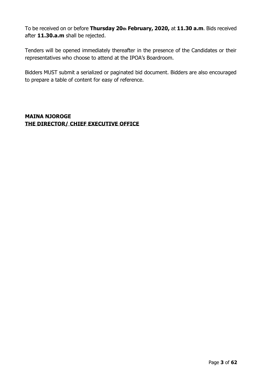To be received on or before **Thursday 20th February, 2020,** at **11.30 a.m**. Bids received after **11.30.a.m** shall be rejected.

Tenders will be opened immediately thereafter in the presence of the Candidates or their representatives who choose to attend at the IPOA's Boardroom.

Bidders MUST submit a serialized or paginated bid document. Bidders are also encouraged to prepare a table of content for easy of reference.

**MAINA NJOROGE THE DIRECTOR/ CHIEF EXECUTIVE OFFICE**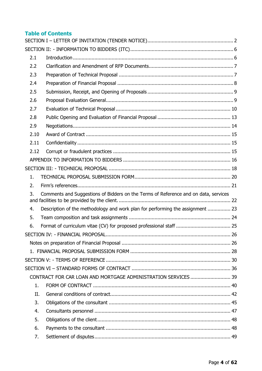## **Table of Contents**

| 2.1  |                                                                                     |
|------|-------------------------------------------------------------------------------------|
| 2.2  |                                                                                     |
| 2.3  |                                                                                     |
| 2.4  |                                                                                     |
| 2.5  |                                                                                     |
| 2.6  |                                                                                     |
| 2.7  |                                                                                     |
| 2.8  |                                                                                     |
| 2.9  |                                                                                     |
| 2.10 |                                                                                     |
| 2.11 |                                                                                     |
| 2.12 |                                                                                     |
|      |                                                                                     |
|      |                                                                                     |
| 1.   |                                                                                     |
| 2.   |                                                                                     |
| 3.   | Comments and Suggestions of Bidders on the Terms of Reference and on data, services |
| 4.   | Description of the methodology and work plan for performing the assignment  23      |
| 5.   |                                                                                     |
| 6.   |                                                                                     |
|      | 26                                                                                  |
|      |                                                                                     |
|      |                                                                                     |
|      |                                                                                     |
|      |                                                                                     |
|      |                                                                                     |
| 1.   |                                                                                     |
| II.  |                                                                                     |
| 3.   |                                                                                     |
| 4.   |                                                                                     |
| 5.   |                                                                                     |
| 6.   |                                                                                     |
| 7.   |                                                                                     |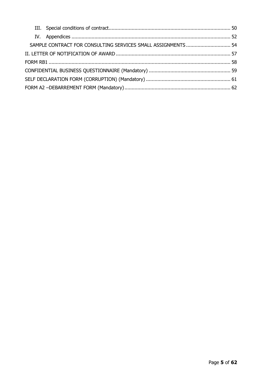| SAMPLE CONTRACT FOR CONSULTING SERVICES SMALL ASSIGNMENTS  54 |  |
|---------------------------------------------------------------|--|
|                                                               |  |
|                                                               |  |
|                                                               |  |
|                                                               |  |
|                                                               |  |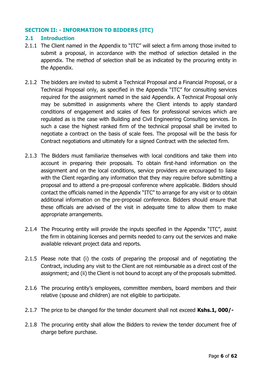## <span id="page-5-0"></span>**SECTION II: - INFORMATION TO BIDDERS (ITC)**

## <span id="page-5-1"></span>**2.1 Introduction**

- 2.1.1 The Client named in the Appendix to "ITC" will select a firm among those invited to submit a proposal, in accordance with the method of selection detailed in the appendix. The method of selection shall be as indicated by the procuring entity in the Appendix.
- 2.1.2 The bidders are invited to submit a Technical Proposal and a Financial Proposal, or a Technical Proposal only, as specified in the Appendix "ITC" for consulting services required for the assignment named in the said Appendix. A Technical Proposal only may be submitted in assignments where the Client intends to apply standard conditions of engagement and scales of fees for professional services which are regulated as is the case with Building and Civil Engineering Consulting services. In such a case the highest ranked firm of the technical proposal shall be invited to negotiate a contract on the basis of scale fees. The proposal will be the basis for Contract negotiations and ultimately for a signed Contract with the selected firm.
- 2.1.3 The Bidders must familiarize themselves with local conditions and take them into account in preparing their proposals. To obtain first-hand information on the assignment and on the local conditions, service providers are encouraged to liaise with the Client regarding any information that they may require before submitting a proposal and to attend a pre-proposal conference where applicable. Bidders should contact the officials named in the Appendix "ITC" to arrange for any visit or to obtain additional information on the pre-proposal conference. Bidders should ensure that these officials are advised of the visit in adequate time to allow them to make appropriate arrangements.
- 2.1.4 The Procuring entity will provide the inputs specified in the Appendix "ITC", assist the firm in obtaining licenses and permits needed to carry out the services and make available relevant project data and reports.
- 2.1.5 Please note that (i) the costs of preparing the proposal and of negotiating the Contract, including any visit to the Client are not reimbursable as a direct cost of the assignment; and (ii) the Client is not bound to accept any of the proposals submitted.
- 2.1.6 The procuring entity's employees, committee members, board members and their relative (spouse and children) are not eligible to participate.
- 2.1.7 The price to be changed for the tender document shall not exceed **Kshs.1, 000/-**
- 2.1.8 The procuring entity shall allow the Bidders to review the tender document free of charge before purchase.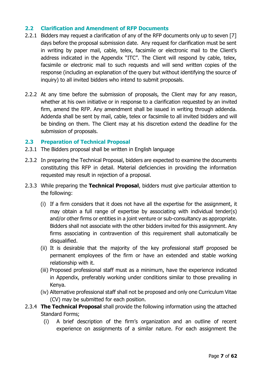## <span id="page-6-0"></span>**2.2 Clarification and Amendment of RFP Documents**

- 2.2.1 Bidders may request a clarification of any of the RFP documents only up to seven [7] days before the proposal submission date. Any request for clarification must be sent in writing by paper mail, cable, telex, facsimile or electronic mail to the Client's address indicated in the Appendix "ITC". The Client will respond by cable, telex, facsimile or electronic mail to such requests and will send written copies of the response (including an explanation of the query but without identifying the source of inquiry) to all invited bidders who intend to submit proposals.
- 2.2.2 At any time before the submission of proposals, the Client may for any reason, whether at his own initiative or in response to a clarification requested by an invited firm, amend the RFP. Any amendment shall be issued in writing through addenda. Addenda shall be sent by mail, cable, telex or facsimile to all invited bidders and will be binding on them. The Client may at his discretion extend the deadline for the submission of proposals.

#### <span id="page-6-1"></span>**2.3 Preparation of Technical Proposal**

- 2.3.1 The Bidders proposal shall be written in English language
- 2.3.2 In preparing the Technical Proposal, bidders are expected to examine the documents constituting this RFP in detail. Material deficiencies in providing the information requested may result in rejection of a proposal.
- 2.3.3 While preparing the **Technical Proposal**, bidders must give particular attention to the following:
	- (i) If a firm considers that it does not have all the expertise for the assignment, it may obtain a full range of expertise by associating with individual tender(s) and/or other firms or entities in a joint venture or sub-consultancy as appropriate. Bidders shall not associate with the other bidders invited for this assignment. Any firms associating in contravention of this requirement shall automatically be disqualified.
	- (ii) It is desirable that the majority of the key professional staff proposed be permanent employees of the firm or have an extended and stable working relationship with it.
	- (iii) Proposed professional staff must as a minimum, have the experience indicated in Appendix, preferably working under conditions similar to those prevailing in Kenya.
	- (iv) Alternative professional staff shall not be proposed and only one Curriculum Vitae (CV) may be submitted for each position.
- 2.3.4 **The Technical Proposal** shall provide the following information using the attached Standard Forms;
	- (i) A brief description of the firm's organization and an outline of recent experience on assignments of a similar nature. For each assignment the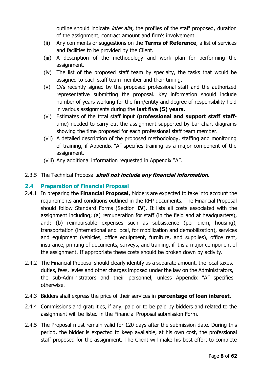outline should indicate *inter alia*, the profiles of the staff proposed, duration of the assignment, contract amount and firm's involvement.

- (ii) Any comments or suggestions on the **Terms of Reference**, a list of services and facilities to be provided by the Client.
- (iii) A description of the methodology and work plan for performing the assignment.
- (iv) The list of the proposed staff team by specialty, the tasks that would be assigned to each staff team member and their timing.
- (v) CVs recently signed by the proposed professional staff and the authorized representative submitting the proposal. Key information should include number of years working for the firm/entity and degree of responsibility held in various assignments during the **last five (5) years**.
- (vi) Estimates of the total staff input (**professional and support staff staff**time) needed to carry out the assignment supported by bar chart diagrams showing the time proposed for each professional staff team member.
- (vii) A detailed description of the proposed methodology, staffing and monitoring of training, if Appendix "A" specifies training as a major component of the assignment.
- (viii) Any additional information requested in Appendix "A".

## 2.3.5 The Technical Proposal **shall not include any financial information.**

## <span id="page-7-0"></span>**2.4 Preparation of Financial Proposal**

- 2.4.1 In preparing the **Financial Proposal**, bidders are expected to take into account the requirements and conditions outlined in the RFP documents. The Financial Proposal should follow Standard Forms (Section **IV**). It lists all costs associated with the assignment including; (a) remuneration for staff (in the field and at headquarters), and; (b) reimbursable expenses such as subsistence (per diem, housing), transportation (international and local, for mobilization and demobilization), services and equipment (vehicles, office equipment, furniture, and supplies), office rent, insurance, printing of documents, surveys, and training, if it is a major component of the assignment. If appropriate these costs should be broken down by activity.
- 2.4.2 The Financial Proposal should clearly identify as a separate amount, the local taxes, duties, fees, levies and other charges imposed under the law on the Administrators, the sub-Administrators and their personnel, unless Appendix "A" specifies otherwise.
- 2.4.3 Bidders shall express the price of their services in **percentage of loan interest.**
- 2.4.4 Commissions and gratuities, if any, paid or to be paid by bidders and related to the assignment will be listed in the Financial Proposal submission Form.
- 2.4.5 The Proposal must remain valid for 120 days after the submission date. During this period, the bidder is expected to keep available, at his own cost, the professional staff proposed for the assignment. The Client will make his best effort to complete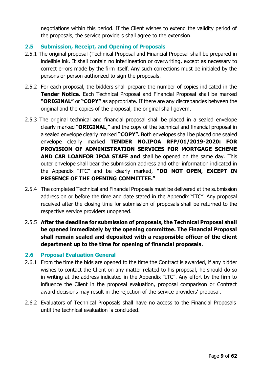negotiations within this period. If the Client wishes to extend the validity period of the proposals, the service providers shall agree to the extension.

## <span id="page-8-0"></span>**2.5 Submission, Receipt, and Opening of Proposals**

- 2.5.1 The original proposal (Technical Proposal and Financial Proposal shall be prepared in indelible ink. It shall contain no interlineation or overwriting, except as necessary to correct errors made by the firm itself. Any such corrections must be initialed by the persons or person authorized to sign the proposals.
- 2.5.2 For each proposal, the bidders shall prepare the number of copies indicated in the **Tender Notice**. Each Technical Proposal and Financial Proposal shall be marked **"ORIGINAL"** or **"COPY"** as appropriate. If there are any discrepancies between the original and the copies of the proposal, the original shall govern.
- 2.5.3 The original technical and financial proposal shall be placed in a sealed envelope clearly marked "**ORIGINAL**," and the copy of the technical and financial proposal in a sealed envelope clearly marked **"COPY".** Both envelopes shall be placed one sealed envelope clearly marked **TENDER NO.IPOA RFP/01/2019-2020: FOR PROVISION OF ADMINISTRATION SERVICES FOR MORTGAGE SCHEME AND CAR LOANFOR IPOA STAFF and** shall be opened on the same day. This outer envelope shall bear the submission address and other information indicated in the Appendix "ITC" and be clearly marked, **"DO NOT OPEN, EXCEPT IN PRESENCE OF THE OPENING COMMITTEE."**
- 2.5.4 The completed Technical and Financial Proposals must be delivered at the submission address on or before the time and date stated in the Appendix "ITC". Any proposal received after the closing time for submission of proposals shall be returned to the respective service providers unopened.
- 2.5.5 **After the deadline for submission of proposals, the Technical Proposal shall be opened immediately by the opening committee. The Financial Proposal shall remain sealed and deposited with a responsible officer of the client department up to the time for opening of financial proposals.**

## <span id="page-8-1"></span>**2.6 Proposal Evaluation General**

- 2.6.1 From the time the bids are opened to the time the Contract is awarded, if any bidder wishes to contact the Client on any matter related to his proposal, he should do so in writing at the address indicated in the Appendix "ITC". Any effort by the firm to influence the Client in the proposal evaluation, proposal comparison or Contract award decisions may result in the rejection of the service providers' proposal.
- 2.6.2 Evaluators of Technical Proposals shall have no access to the Financial Proposals until the technical evaluation is concluded.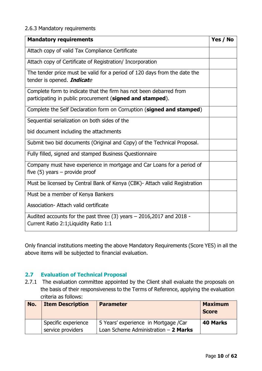## 2.6.3 Mandatory requirements

| <b>Mandatory requirements</b>                                                                                                   | Yes / No |
|---------------------------------------------------------------------------------------------------------------------------------|----------|
| Attach copy of valid Tax Compliance Certificate                                                                                 |          |
| Attach copy of Certificate of Registration/ Incorporation                                                                       |          |
| The tender price must be valid for a period of 120 days from the date the<br>tender is opened. Indicate                         |          |
| Complete form to indicate that the firm has not been debarred from<br>participating in public procurement (signed and stamped). |          |
| Complete the Self Declaration form on Corruption (signed and stamped)                                                           |          |
| Sequential serialization on both sides of the                                                                                   |          |
| bid document including the attachments                                                                                          |          |
| Submit two bid documents (Original and Copy) of the Technical Proposal.                                                         |          |
| Fully filled, signed and stamped Business Questionnaire                                                                         |          |
| Company must have experience in mortgage and Car Loans for a period of<br>five $(5)$ years – provide proof                      |          |
| Must be licensed by Central Bank of Kenya (CBK)- Attach valid Registration                                                      |          |
| Must be a member of Kenya Bankers                                                                                               |          |
| Association- Attach valid certificate                                                                                           |          |
| Audited accounts for the past three (3) years - 2016, 2017 and 2018 -<br>Current Ratio 2:1; Liquidity Ratio 1:1                 |          |

Only financial institutions meeting the above Mandatory Requirements (Score YES) in all the above items will be subjected to financial evaluation.

## <span id="page-9-0"></span>**2.7 Evaluation of Technical Proposal**

2.7.1 The evaluation committee appointed by the Client shall evaluate the proposals on the basis of their responsiveness to the Terms of Reference, applying the evaluation criteria as follows:

| No. | <b>Item Description</b>                  | <b>Parameter</b>                                                              | <b>Maximum</b><br><b>Score</b> |
|-----|------------------------------------------|-------------------------------------------------------------------------------|--------------------------------|
|     | Specific experience<br>service providers | 5 Years' experience in Mortgage / Car<br>Loan Scheme Administration - 2 Marks | <b>40 Marks</b>                |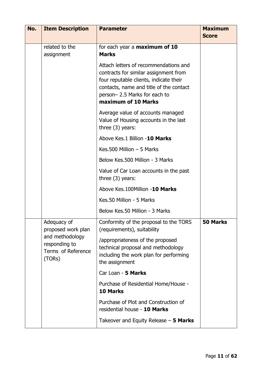| No.                                           | <b>Item Description</b>           | <b>Parameter</b>                                                                                                                                                                                                           | <b>Maximum</b><br><b>Score</b> |
|-----------------------------------------------|-----------------------------------|----------------------------------------------------------------------------------------------------------------------------------------------------------------------------------------------------------------------------|--------------------------------|
|                                               | related to the<br>assignment      | for each year a maximum of 10<br><b>Marks</b>                                                                                                                                                                              |                                |
|                                               |                                   | Attach letters of recommendations and<br>contracts for similar assignment from<br>four reputable clients, indicate their<br>contacts, name and title of the contact<br>person-2.5 Marks for each to<br>maximum of 10 Marks |                                |
|                                               |                                   | Average value of accounts managed<br>Value of Housing accounts in the last<br>three $(3)$ years:                                                                                                                           |                                |
|                                               |                                   | Above Kes.1 Billion -10 Marks                                                                                                                                                                                              |                                |
|                                               |                                   | Kes.500 Million $-5$ Marks                                                                                                                                                                                                 |                                |
|                                               |                                   | Below Kes.500 Million - 3 Marks                                                                                                                                                                                            |                                |
|                                               |                                   | Value of Car Loan accounts in the past<br>three $(3)$ years:                                                                                                                                                               |                                |
|                                               |                                   | Above Kes.100Million -10 Marks                                                                                                                                                                                             |                                |
|                                               |                                   | Kes.50 Million - 5 Marks                                                                                                                                                                                                   |                                |
|                                               |                                   | Below Kes.50 Million - 3 Marks                                                                                                                                                                                             |                                |
|                                               | Adequacy of<br>proposed work plan | Conformity of the proposal to the TORS<br>(requirements), suitability                                                                                                                                                      | <b>50 Marks</b>                |
| responding to<br>Terms of Reference<br>(TORs) | and methodology                   | /appropriateness of the proposed<br>technical proposal and methodology<br>including the work plan for performing<br>the assignment                                                                                         |                                |
|                                               | Car Loan - 5 Marks                |                                                                                                                                                                                                                            |                                |
|                                               |                                   | Purchase of Residential Home/House -<br><b>10 Marks</b>                                                                                                                                                                    |                                |
|                                               |                                   | Purchase of Plot and Construction of<br>residential house - 10 Marks                                                                                                                                                       |                                |
|                                               |                                   | Takeover and Equity Release $-5$ Marks                                                                                                                                                                                     |                                |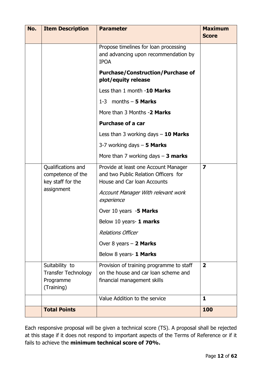| No. | <b>Item Description</b>                                                 | <b>Parameter</b>                                                                                                | <b>Maximum</b><br><b>Score</b> |
|-----|-------------------------------------------------------------------------|-----------------------------------------------------------------------------------------------------------------|--------------------------------|
|     |                                                                         | Propose timelines for loan processing<br>and advancing upon recommendation by<br><b>IPOA</b>                    |                                |
|     |                                                                         | <b>Purchase/Construction/Purchase of</b><br>plot/equity release                                                 |                                |
|     |                                                                         | Less than 1 month -10 Marks                                                                                     |                                |
|     |                                                                         | 1-3 months $-5$ Marks                                                                                           |                                |
|     |                                                                         | More than 3 Months -2 Marks                                                                                     |                                |
|     |                                                                         | <b>Purchase of a car</b>                                                                                        |                                |
|     |                                                                         | Less than 3 working days $-10$ Marks                                                                            |                                |
|     |                                                                         | 3-7 working days $-$ 5 Marks                                                                                    |                                |
|     |                                                                         | More than 7 working days $-$ 3 marks                                                                            |                                |
|     | Qualifications and<br>competence of the<br>key staff for the            | Provide at least one Account Manager<br>and two Public Relation Officers for<br>House and Car Ioan Accounts     | $\overline{\mathbf{z}}$        |
|     | assignment                                                              | Account Manager With relevant work<br>experience                                                                |                                |
|     |                                                                         | Over 10 years -5 Marks                                                                                          |                                |
|     |                                                                         | Below 10 years- 1 marks                                                                                         |                                |
|     |                                                                         | <b>Relations Officer</b>                                                                                        |                                |
|     |                                                                         | Over 8 years $-$ 2 Marks                                                                                        |                                |
|     |                                                                         | Below 8 years- 1 Marks                                                                                          |                                |
|     | Suitability to<br><b>Transfer Technology</b><br>Programme<br>(Training) | Provision of training programme to staff<br>on the house and car loan scheme and<br>financial management skills | $\overline{2}$                 |
|     |                                                                         | Value Addition to the service                                                                                   | $\mathbf{1}$                   |
|     | <b>Total Points</b>                                                     |                                                                                                                 | 100                            |

Each responsive proposal will be given a technical score (TS). A proposal shall be rejected at this stage if it does not respond to important aspects of the Terms of Reference or if it fails to achieve the **minimum technical score of 70%.**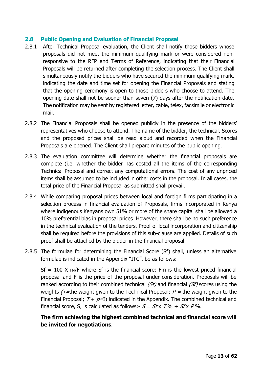## <span id="page-12-0"></span>**2.8 Public Opening and Evaluation of Financial Proposal**

- 2.8.1 After Technical Proposal evaluation, the Client shall notify those bidders whose proposals did not meet the minimum qualifying mark or were considered nonresponsive to the RFP and Terms of Reference, indicating that their Financial Proposals will be returned after completing the selection process. The Client shall simultaneously notify the bidders who have secured the minimum qualifying mark, indicating the date and time set for opening the Financial Proposals and stating that the opening ceremony is open to those bidders who choose to attend. The opening date shall not be sooner than seven (7) days after the notification date. The notification may be sent by registered letter, cable, telex, facsimile or electronic mail.
- 2.8.2 The Financial Proposals shall be opened publicly in the presence of the bidders' representatives who choose to attend. The name of the bidder, the technical. Scores and the proposed prices shall be read aloud and recorded when the Financial Proposals are opened. The Client shall prepare minutes of the public opening.
- 2.8.3 The evaluation committee will determine whether the financial proposals are complete (i.e. whether the bidder has costed all the items of the corresponding Technical Proposal and correct any computational errors. The cost of any unpriced items shall be assumed to be included in other costs in the proposal. In all cases, the total price of the Financial Proposal as submitted shall prevail.
- 2.8.4 While comparing proposal prices between local and foreign firms participating in a selection process in financial evaluation of Proposals, firms incorporated in Kenya where indigenous Kenyans own 51% or more of the share capital shall be allowed a 10% preferential bias in proposal prices. However, there shall be no such preference in the technical evaluation of the tenders. Proof of local incorporation and citizenship shall be required before the provisions of this sub-clause are applied. Details of such proof shall be attached by the bidder in the financial proposal.
- 2.8.5 The formulae for determining the Financial Score (Sf) shall, unless an alternative formulae is indicated in the Appendix "ITC", be as follows:-

 $Sf = 100$  X  $FM/F$  where Sf is the financial score; Fm is the lowest priced financial proposal and F is the price of the proposal under consideration. Proposals will be ranked according to their combined technical  $(St)$  and financial  $(St)$  scores using the weights (T=the weight given to the Technical Proposal:  $P =$  the weight given to the Financial Proposal;  $T + p=I$ ) indicated in the Appendix. The combined technical and financial score, S, is calculated as follows:-  $S = Stx T\% + Sfx P\%$ .

**The firm achieving the highest combined technical and financial score will be invited for negotiations**.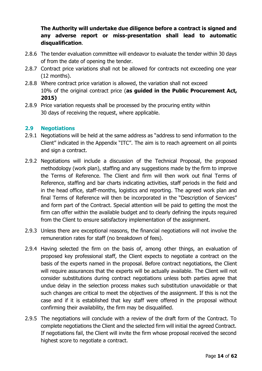## **The Authority will undertake due diligence before a contract is signed and any adverse report or miss-presentation shall lead to automatic disqualification**.

- 2.8.6 The tender evaluation committee will endeavor to evaluate the tender within 30 days of from the date of opening the tender.
- 2.8.7 Contract price variations shall not be allowed for contracts not exceeding one year (12 months).
- 2.8.8 Where contract price variation is allowed, the variation shall not exceed 10% of the original contract price (**as guided in the Public Procurement Act, 2015)**
- 2.8.9 Price variation requests shall be processed by the procuring entity within 30 days of receiving the request, where applicable.

## <span id="page-13-0"></span>**2.9 Negotiations**

- 2.9.1 Negotiations will be held at the same address as "address to send information to the Client" indicated in the Appendix "ITC". The aim is to reach agreement on all points and sign a contract.
- 2.9.2 Negotiations will include a discussion of the Technical Proposal, the proposed methodology (work plan), staffing and any suggestions made by the firm to improve the Terms of Reference. The Client and firm will then work out final Terms of Reference, staffing and bar charts indicating activities, staff periods in the field and in the head office, staff-months, logistics and reporting. The agreed work plan and final Terms of Reference will then be incorporated in the "Description of Services" and form part of the Contract. Special attention will be paid to getting the most the firm can offer within the available budget and to clearly defining the inputs required from the Client to ensure satisfactory implementation of the assignment.
- 2.9.3 Unless there are exceptional reasons, the financial negotiations will not involve the remuneration rates for staff (no breakdown of fees).
- 2.9.4 Having selected the firm on the basis of, among other things, an evaluation of proposed key professional staff, the Client expects to negotiate a contract on the basis of the experts named in the proposal. Before contract negotiations, the Client will require assurances that the experts will be actually available. The Client will not consider substitutions during contract negotiations unless both parties agree that undue delay in the selection process makes such substitution unavoidable or that such changes are critical to meet the objectives of the assignment. If this is not the case and if it is established that key staff were offered in the proposal without confirming their availability, the firm may be disqualified.
- 2.9.5 The negotiations will conclude with a review of the draft form of the Contract. To complete negotiations the Client and the selected firm will initial the agreed Contract. If negotiations fail, the Client will invite the firm whose proposal received the second highest score to negotiate a contract.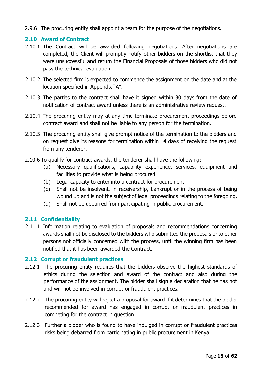2.9.6 The procuring entity shall appoint a team for the purpose of the negotiations.

## <span id="page-14-0"></span>**2.10 Award of Contract**

- 2.10.1 The Contract will be awarded following negotiations. After negotiations are completed, the Client will promptly notify other bidders on the shortlist that they were unsuccessful and return the Financial Proposals of those bidders who did not pass the technical evaluation.
- 2.10.2 The selected firm is expected to commence the assignment on the date and at the location specified in Appendix "A".
- 2.10.3 The parties to the contract shall have it signed within 30 days from the date of notification of contract award unless there is an administrative review request.
- 2.10.4 The procuring entity may at any time terminate procurement proceedings before contract award and shall not be liable to any person for the termination.
- 2.10.5 The procuring entity shall give prompt notice of the termination to the bidders and on request give its reasons for termination within 14 days of receiving the request from any tenderer.
- 2.10.6 To qualify for contract awards, the tenderer shall have the following:
	- (a) Necessary qualifications, capability experience, services, equipment and facilities to provide what is being procured.
	- (b) Legal capacity to enter into a contract for procurement
	- (c) Shall not be insolvent, in receivership, bankrupt or in the process of being wound up and is not the subject of legal proceedings relating to the foregoing.
	- (d) Shall not be debarred from participating in public procurement.

## <span id="page-14-1"></span>**2.11 Confidentiality**

2.11.1 Information relating to evaluation of proposals and recommendations concerning awards shall not be disclosed to the bidders who submitted the proposals or to other persons not officially concerned with the process, until the winning firm has been notified that it has been awarded the Contract.

## <span id="page-14-2"></span>**2.12 Corrupt or fraudulent practices**

- 2.12.1 The procuring entity requires that the bidders observe the highest standards of ethics during the selection and award of the contract and also during the performance of the assignment. The bidder shall sign a declaration that he has not and will not be involved in corrupt or fraudulent practices.
- 2.12.2 The procuring entity will reject a proposal for award if it determines that the bidder recommended for award has engaged in corrupt or fraudulent practices in competing for the contract in question.
- 2.12.3 Further a bidder who is found to have indulged in corrupt or fraudulent practices risks being debarred from participating in public procurement in Kenya.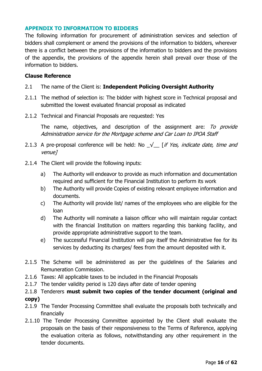## <span id="page-15-0"></span>**APPENDIX TO INFORMATION TO BIDDERS**

The following information for procurement of administration services and selection of bidders shall complement or amend the provisions of the information to bidders, wherever there is a conflict between the provisions of the information to bidders and the provisions of the appendix, the provisions of the appendix herein shall prevail over those of the information to bidders.

#### **Clause Reference**

- 2.1 The name of the Client is: **Independent Policing Oversight Authority**
- 2.1.1 The method of selection is: The bidder with highest score in Technical proposal and submitted the lowest evaluated financial proposal as indicated
- 2.1.2 Technical and Financial Proposals are requested: Yes

The name, objectives, and description of the assignment are: To provide Administration service for the Mortgage scheme and Car Loan to IPOA Staff

- 2.1.3 A pre-proposal conference will be held: No  $\sqrt{\phantom{a}}$  [if Yes, indicate date, time and venue]
- 2.1.4 The Client will provide the following inputs:
	- a) The Authority will endeavor to provide as much information and documentation required and sufficient for the Financial Institution to perform its work
	- b) The Authority will provide Copies of existing relevant employee information and documents.
	- c) The Authority will provide list/ names of the employees who are eligible for the loan
	- d) The Authority will nominate a liaison officer who will maintain regular contact with the financial Institution on matters regarding this banking facility, and provide appropriate administrative support to the team.
	- e) The successful Financial Institution will pay itself the Administrative fee for its services by deducting its charges/ fees from the amount deposited with it.
- 2.1.5 The Scheme will be administered as per the guidelines of the Salaries and Remuneration Commission.
- 2.1.6 Taxes: All applicable taxes to be included in the Financial Proposals
- 2.1.7 The tender validity period is 120 days after date of tender opening
- 2.1.8 Tenderers **must submit two copies of the tender document (original and copy)**
- 2.1.9 The Tender Processing Committee shall evaluate the proposals both technically and financially
- 2.1.10 The Tender Processing Committee appointed by the Client shall evaluate the proposals on the basis of their responsiveness to the Terms of Reference, applying the evaluation criteria as follows, notwithstanding any other requirement in the tender documents.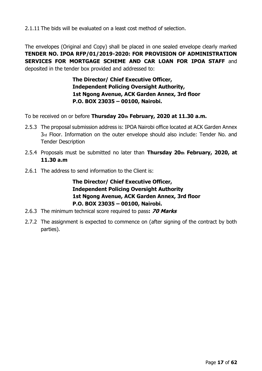2.1.11 The bids will be evaluated on a least cost method of selection.

The envelopes (Original and Copy) shall be placed in one sealed envelope clearly marked **TENDER NO. IPOA RFP/01/2019-2020: FOR PROVISION OF ADMINISTRATION SERVICES FOR MORTGAGE SCHEME AND CAR LOAN FOR IPOA STAFF** and deposited in the tender box provided and addressed to:

> **The Director/ Chief Executive Officer, Independent Policing Oversight Authority, 1st Ngong Avenue, ACK Garden Annex, 3rd floor P.O. BOX 23035 – 00100, Nairobi.**

To be received on or before **Thursday 20th February, 2020 at 11.30 a.m.**

- 2.5.3 The proposal submission address is: IPOA Nairobi office located at ACK Garden Annex 3rd Floor. Information on the outer envelope should also include: Tender No. and Tender Description
- 2.5.4 Proposals must be submitted no later than **Thursday 20th February, 2020, at 11.30 a.m**
- 2.6.1 The address to send information to the Client is:

**The Director/ Chief Executive Officer, Independent Policing Oversight Authority 1st Ngong Avenue, ACK Garden Annex, 3rd floor P.O. BOX 23035 – 00100, Nairobi.**

- 2.6.3 The minimum technical score required to pass**: 70 Marks**
- 2.7.2 The assignment is expected to commence on (after signing of the contract by both parties).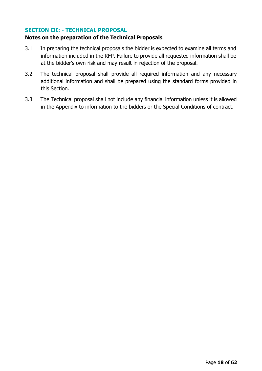#### <span id="page-17-0"></span>**SECTION III: - TECHNICAL PROPOSAL**

#### **Notes on the preparation of the Technical Proposals**

- 3.1 In preparing the technical proposals the bidder is expected to examine all terms and information included in the RFP. Failure to provide all requested information shall be at the bidder's own risk and may result in rejection of the proposal.
- 3.2 The technical proposal shall provide all required information and any necessary additional information and shall be prepared using the standard forms provided in this Section.
- 3.3 The Technical proposal shall not include any financial information unless it is allowed in the Appendix to information to the bidders or the Special Conditions of contract.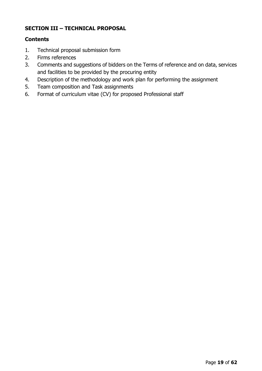## **SECTION III – TECHNICAL PROPOSAL**

## **Contents**

- 1. Technical proposal submission form
- 2. Firms references
- 3. Comments and suggestions of bidders on the Terms of reference and on data, services and facilities to be provided by the procuring entity
- 4. Description of the methodology and work plan for performing the assignment
- 5. Team composition and Task assignments
- 6. Format of curriculum vitae (CV) for proposed Professional staff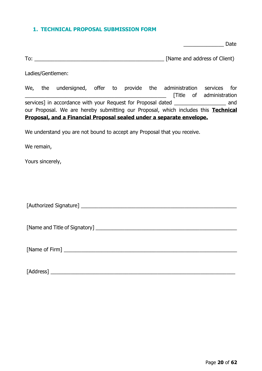## <span id="page-19-0"></span>**1. TECHNICAL PROPOSAL SUBMISSION FORM**

 $\blacksquare$  Date

Ladies/Gentlemen:

We, the undersigned, offer to provide the administration services for \_\_\_\_\_\_\_\_\_\_\_\_\_\_\_\_\_\_\_\_\_\_\_\_\_\_\_\_\_\_\_\_\_\_\_\_\_\_\_\_\_\_\_\_\_\_\_\_\_ [Title of administration services] in accordance with your Request for Proposal dated \_\_\_\_\_\_\_\_\_\_\_\_\_\_\_\_\_\_\_ and our Proposal. We are hereby submitting our Proposal, which includes this **Technical Proposal, and a Financial Proposal sealed under a separate envelope.**

We understand you are not bound to accept any Proposal that you receive.

We remain,

Yours sincerely,

| [Authorized Signature] |  |
|------------------------|--|
|                        |  |

[Name and Title of Signatory] \_\_\_\_\_\_\_\_\_\_\_\_\_\_\_\_\_\_\_\_\_\_\_\_\_\_\_\_\_\_\_\_\_\_\_\_\_\_\_\_\_\_\_\_\_\_\_\_\_

[Name of Firm] \_\_\_\_\_\_\_\_\_\_\_\_\_\_\_\_\_\_\_\_\_\_\_\_\_\_\_\_\_\_\_\_\_\_\_\_\_\_\_\_\_\_\_\_\_\_\_\_\_\_\_\_\_\_\_\_\_\_\_\_

 $[Address] \begin{tabular}{|c|c|c|c|} \hline \quad \quad \quad & \quad \quad & \quad \quad & \quad \quad & \quad \quad \\ \hline \end{tabular}$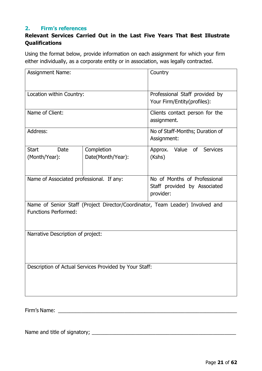## <span id="page-20-0"></span>**2. Firm's references**

## **Relevant Services Carried Out in the Last Five Years That Best Illustrate Qualifications**

Using the format below, provide information on each assignment for which your firm either individually, as a corporate entity or in association, was legally contracted.

| <b>Assignment Name:</b>                                |                   | Country                                                                       |  |
|--------------------------------------------------------|-------------------|-------------------------------------------------------------------------------|--|
| Location within Country:                               |                   | Professional Staff provided by                                                |  |
|                                                        |                   | Your Firm/Entity(profiles):                                                   |  |
| Name of Client:                                        |                   | Clients contact person for the<br>assignment.                                 |  |
| Address:                                               |                   | No of Staff-Months; Duration of<br>Assignment:                                |  |
| <b>Start</b><br>Date                                   | Completion        | Value of Services<br>Approx.                                                  |  |
| (Month/Year):                                          | Date(Month/Year): | (Kshs)                                                                        |  |
|                                                        |                   |                                                                               |  |
| Name of Associated professional. If any:               |                   | No of Months of Professional                                                  |  |
|                                                        |                   | Staff provided by Associated<br>provider:                                     |  |
|                                                        |                   | Name of Senior Staff (Project Director/Coordinator, Team Leader) Involved and |  |
| <b>Functions Performed:</b>                            |                   |                                                                               |  |
|                                                        |                   |                                                                               |  |
| Narrative Description of project:                      |                   |                                                                               |  |
|                                                        |                   |                                                                               |  |
|                                                        |                   |                                                                               |  |
|                                                        |                   |                                                                               |  |
| Description of Actual Services Provided by Your Staff: |                   |                                                                               |  |
|                                                        |                   |                                                                               |  |
|                                                        |                   |                                                                               |  |
|                                                        |                   |                                                                               |  |

Firm's Name: \_\_\_\_\_\_\_\_\_\_\_\_\_\_\_\_\_\_\_\_\_\_\_\_\_\_\_\_\_\_\_\_\_\_\_\_\_\_\_\_\_\_\_\_\_\_\_\_\_\_\_\_\_\_\_\_\_\_\_\_\_\_

Name and title of signatory; \_\_\_\_\_\_\_\_\_\_\_\_\_\_\_\_\_\_\_\_\_\_\_\_\_\_\_\_\_\_\_\_\_\_\_\_\_\_\_\_\_\_\_\_\_\_\_\_\_\_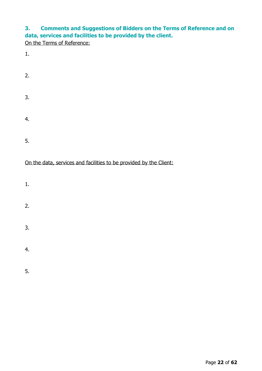## <span id="page-21-0"></span>**3. Comments and Suggestions of Bidders on the Terms of Reference and on data, services and facilities to be provided by the client.**

On the Terms of Reference:

1.

- 2. 3. 4.
- 5.

## On the data, services and facilities to be provided by the Client:

1.

- 
- 2.
- 3.
- 4.
- 5.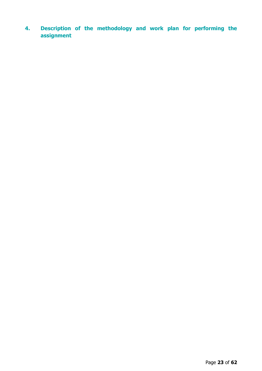<span id="page-22-0"></span>**4. Description of the methodology and work plan for performing the assignment**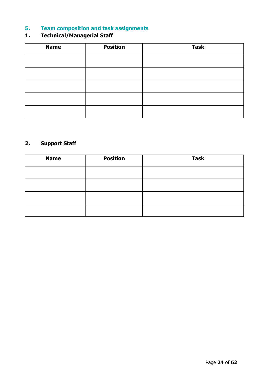## <span id="page-23-0"></span>**5. Team composition and task assignments**

## **1. Technical/Managerial Staff**

| <b>Name</b> | <b>Position</b> | <b>Task</b> |
|-------------|-----------------|-------------|
|             |                 |             |
|             |                 |             |
|             |                 |             |
|             |                 |             |
|             |                 |             |

## **2. Support Staff**

| <b>Name</b> | <b>Position</b> | <b>Task</b> |
|-------------|-----------------|-------------|
|             |                 |             |
|             |                 |             |
|             |                 |             |
|             |                 |             |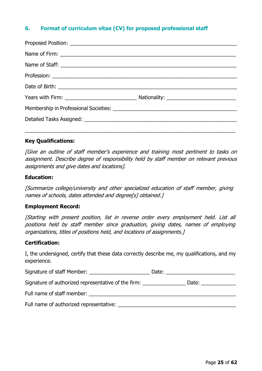## <span id="page-24-0"></span>**6. Format of curriculum vitae (CV) for proposed professional staff**

#### **Key Qualifications:**

[Give an outline of staff member's experience and training most pertinent to tasks on assignment. Describe degree of responsibility held by staff member on relevant previous assignments and give dates and locations].

#### **Education:**

[Summarize college/university and other specialized education of staff member, giving names of schools, dates attended and degree[s] obtained.]

#### **Employment Record:**

[Starting with present position, list in reverse order every employment held. List all positions held by staff member since graduation, giving dates, names of employing organizations, titles of positions held, and locations of assignments.]

#### **Certification:**

I, the undersigned, certify that these data correctly describe me, my qualifications, and my experience.

| Signature of staff Member: |  |  |
|----------------------------|--|--|
|----------------------------|--|--|

Signature of authorized representative of the firm: \_\_\_\_\_\_\_\_\_\_\_\_\_\_\_\_\_\_\_\_Date: \_\_\_\_\_\_\_\_\_\_\_\_\_\_\_\_\_\_\_\_\_

Full name of staff member:  $\blacksquare$ 

Full name of authorized representative: \_\_\_\_\_\_\_\_\_\_\_\_\_\_\_\_\_\_\_\_\_\_\_\_\_\_\_\_\_\_\_\_\_\_\_\_\_\_\_\_\_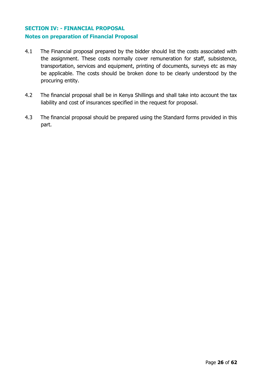## <span id="page-25-1"></span><span id="page-25-0"></span>**SECTION IV: - FINANCIAL PROPOSAL Notes on preparation of Financial Proposal**

- 4.1 The Financial proposal prepared by the bidder should list the costs associated with the assignment. These costs normally cover remuneration for staff, subsistence, transportation, services and equipment, printing of documents, surveys etc as may be applicable. The costs should be broken done to be clearly understood by the procuring entity.
- 4.2 The financial proposal shall be in Kenya Shillings and shall take into account the tax liability and cost of insurances specified in the request for proposal.
- 4.3 The financial proposal should be prepared using the Standard forms provided in this part.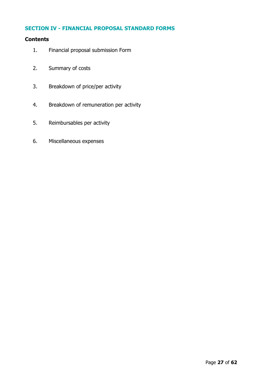## **SECTION IV - FINANCIAL PROPOSAL STANDARD FORMS**

## **Contents**

- 1. Financial proposal submission Form
- 2. Summary of costs
- 3. Breakdown of price/per activity
- 4. Breakdown of remuneration per activity
- 5. Reimbursables per activity
- 6. Miscellaneous expenses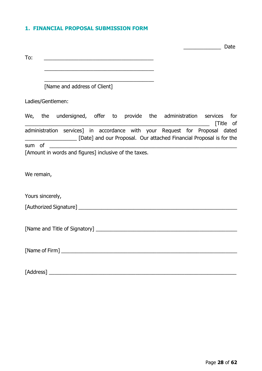## <span id="page-27-0"></span>**1. FINANCIAL PROPOSAL SUBMISSION FORM**

| To:               | <u> 1980 - Johann John Stoff, deutscher Stoffen und der Stoffen und der Stoffen und der Stoffen und der Stoffen</u>                                                                                                                                                                          | Date                                                                |
|-------------------|----------------------------------------------------------------------------------------------------------------------------------------------------------------------------------------------------------------------------------------------------------------------------------------------|---------------------------------------------------------------------|
|                   |                                                                                                                                                                                                                                                                                              |                                                                     |
|                   | [Name and address of Client]                                                                                                                                                                                                                                                                 |                                                                     |
| Ladies/Gentlemen: |                                                                                                                                                                                                                                                                                              |                                                                     |
|                   | We, the undersigned, offer to provide the administration services                                                                                                                                                                                                                            | for<br>[Title of                                                    |
|                   | administration services] in accordance with your Request for Proposal dated                                                                                                                                                                                                                  | [Date] and our Proposal. Our attached Financial Proposal is for the |
|                   | sum of <u>contract of the second second</u> contract of the second second second second second second second second second second second second second second second second second second second second second second second second<br>[Amount in words and figures] inclusive of the taxes. |                                                                     |
|                   |                                                                                                                                                                                                                                                                                              |                                                                     |
| We remain,        |                                                                                                                                                                                                                                                                                              |                                                                     |
| Yours sincerely,  |                                                                                                                                                                                                                                                                                              |                                                                     |
|                   |                                                                                                                                                                                                                                                                                              |                                                                     |
|                   |                                                                                                                                                                                                                                                                                              |                                                                     |
|                   |                                                                                                                                                                                                                                                                                              |                                                                     |
|                   |                                                                                                                                                                                                                                                                                              |                                                                     |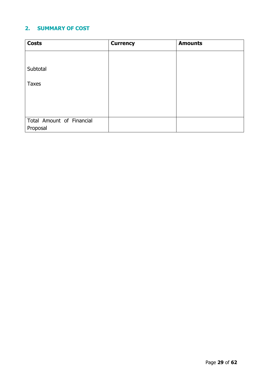## **2. SUMMARY OF COST**

| <b>Costs</b>              | <b>Currency</b> | <b>Amounts</b> |
|---------------------------|-----------------|----------------|
|                           |                 |                |
| Subtotal                  |                 |                |
| <b>Taxes</b>              |                 |                |
|                           |                 |                |
|                           |                 |                |
| Total Amount of Financial |                 |                |
| Proposal                  |                 |                |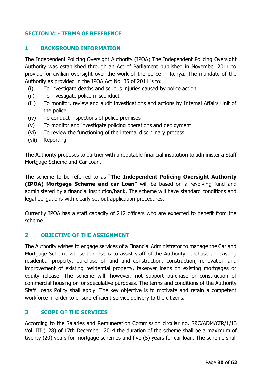## <span id="page-29-0"></span>**SECTION V: - TERMS OF REFERENCE**

#### **1 BACKGROUND INFORMATION**

The Independent Policing Oversight Authority (IPOA) The Independent Policing Oversight Authority was established through an Act of Parliament published in November 2011 to provide for civilian oversight over the work of the police in Kenya. The mandate of the Authority as provided in the IPOA Act No. 35 of 2011 is to:

- (i) To investigate deaths and serious injuries caused by police action
- (ii) To investigate police misconduct
- (iii) To monitor, review and audit investigations and actions by Internal Affairs Unit of the police
- (iv) To conduct inspections of police premises
- (v) To monitor and investigate policing operations and deployment
- (vi) To review the functioning of the internal disciplinary process
- (vii) Reporting

The Authority proposes to partner with a reputable financial institution to administer a Staff Mortgage Scheme and Car Loan.

The scheme to be referred to as "**The Independent Policing Oversight Authority (IPOA) Mortgage Scheme and car Loan"** will be based on a revolving fund and administered by a financial institution/bank. The scheme will have standard conditions and legal obligations with clearly set out application procedures.

Currently IPOA has a staff capacity of 212 officers who are expected to benefit from the scheme.

## **2 OBJECTIVE OF THE ASSIGNMENT**

The Authority wishes to engage services of a Financial Administrator to manage the Car and Mortgage Scheme whose purpose is to assist staff of the Authority purchase an existing residential property, purchase of land and construction, construction, renovation and improvement of existing residential property, takeover loans on existing mortgages or equity release. The scheme will, however, not support purchase or construction of commercial housing or for speculative purposes. The terms and conditions of the Authority Staff Loans Policy shall apply. The key objective is to motivate and retain a competent workforce in order to ensure efficient service delivery to the citizens.

## **3 SCOPE OF THE SERVICES**

According to the Salaries and Remuneration Commission circular no. SRC/ADM/CIR/1/13 Vol. III (128) of 17th December, 2014 the duration of the scheme shall be a maximum of twenty (20) years for mortgage schemes and five (5) years for car loan. The scheme shall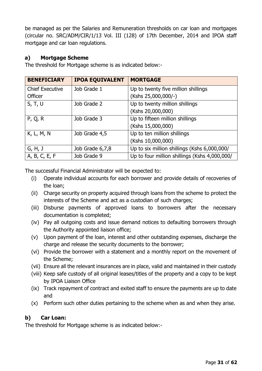be managed as per the Salaries and Remuneration thresholds on car loan and mortgages (circular no. SRC/ADM/CIR/1/13 Vol. III (128) of 17th December, 2014 and IPOA staff mortgage and car loan regulations.

## **a) Mortgage Scheme**

| <b>BENEFICIARY</b>     | <b>IPOA EQUIVALENT</b> | <b>MORTGAGE</b>                               |
|------------------------|------------------------|-----------------------------------------------|
| <b>Chief Executive</b> | Job Grade 1            | Up to twenty five million shillings           |
| Officer                |                        | (Kshs 25,000,000/-)                           |
| S, T, U                | Job Grade 2            | Up to twenty million shillings                |
|                        |                        | (Kshs 20,000,000)                             |
| P, Q, R                | Job Grade 3            | Up to fifteen million shillings               |
|                        |                        | (Kshs 15,000,000)                             |
| K, L, M, N             | Job Grade 4,5          | Up to ten million shillings                   |
|                        |                        | (Kshs 10,000,000)                             |
| G, H, J                | Job Grade 6,7,8        | Up to six million shillings (Kshs 6,000,000/  |
| A, B, C, E, F          | Job Grade 9            | Up to four million shillings (Kshs 4,000,000/ |

The threshold for Mortgage scheme is as indicated below:-

The successful Financial Administrator will be expected to:

- (i) Operate individual accounts for each borrower and provide details of recoveries of the loan;
- (ii) Charge security on property acquired through loans from the scheme to protect the interests of the Scheme and act as a custodian of such charges;
- (iii) Disburse payments of approved loans to borrowers after the necessary documentation is completed;
- (iv) Pay all outgoing costs and issue demand notices to defaulting borrowers through the Authority appointed liaison office;
- (v) Upon payment of the loan, interest and other outstanding expenses, discharge the charge and release the security documents to the borrower;
- (vi) Provide the borrower with a statement and a monthly report on the movement of the Scheme;
- (vii) Ensure all the relevant insurances are in place, valid and maintained in their custody
- (viii) Keep safe custody of all original leases/titles of the property and a copy to be kept by IPOA Liaison Office
- (ix) Track repayment of contract and exited staff to ensure the payments are up to date and
- (x) Perform such other duties pertaining to the scheme when as and when they arise.

## **b) Car Loan:**

The threshold for Mortgage scheme is as indicated below:-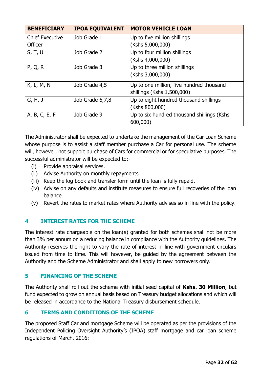| <b>BENEFICIARY</b>     | <b>IPOA EQUIVALENT</b> | <b>MOTOR VEHICLE LOAN</b>                  |
|------------------------|------------------------|--------------------------------------------|
| <b>Chief Executive</b> | Job Grade 1            | Up to five million shillings               |
| Officer                |                        | (Kshs 5,000,000)                           |
| S, T, U                | Job Grade 2            | Up to four million shillings               |
|                        |                        | (Kshs 4,000,000)                           |
| P, Q, R                | Job Grade 3            | Up to three million shillings              |
|                        |                        | (Kshs 3,000,000)                           |
| K, L, M, N             | Job Grade 4,5          | Up to one million, five hundred thousand   |
|                        |                        | shillings (Kshs 1,500,000)                 |
| G, H, J                | Job Grade 6,7,8        | Up to eight hundred thousand shillings     |
|                        |                        | (Kshs 800,000)                             |
| A, B, C, E, F          | Job Grade 9            | Up to six hundred thousand shillings (Kshs |
|                        |                        | 600,000)                                   |

The Administrator shall be expected to undertake the management of the Car Loan Scheme whose purpose is to assist a staff member purchase a Car for personal use. The scheme will, however, not support purchase of Cars for commercial or for speculative purposes. The successful administrator will be expected to:-

- (i) Provide appraisal services.
- (ii) Advise Authority on monthly repayments.
- (iii) Keep the log book and transfer form until the loan is fully repaid.
- (iv) Advise on any defaults and institute measures to ensure full recoveries of the loan balance.
- (v) Revert the rates to market rates where Authority advises so in line with the policy.

## **4 INTEREST RATES FOR THE SCHEME**

The interest rate chargeable on the loan(s) granted for both schemes shall not be more than 3% per annum on a reducing balance in compliance with the Authority guidelines. The Authority reserves the right to vary the rate of interest in line with government circulars issued from time to time. This will however, be guided by the agreement between the Authority and the Scheme Administrator and shall apply to new borrowers only.

## **5 FINANCING OF THE SCHEME**

The Authority shall roll out the scheme with initial seed capital of **Kshs. 30 Million**, but fund expected to grow on annual basis based on Treasury budget allocations and which will be released in accordance to the National Treasury disbursement schedule.

## **6 TERMS AND CONDITIONS OF THE SCHEME**

The proposed Staff Car and mortgage Scheme will be operated as per the provisions of the Independent Policing Oversight Authority's (IPOA) staff mortgage and car loan scheme regulations of March, 2016: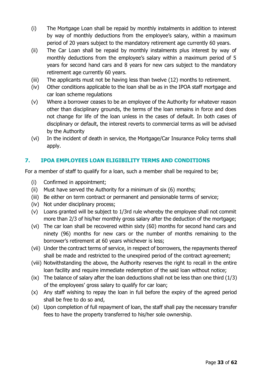- (i) The Mortgage Loan shall be repaid by monthly instalments in addition to interest by way of monthly deductions from the employee's salary, within a maximum period of 20 years subject to the mandatory retirement age currently 60 years.
- (ii) The Car Loan shall be repaid by monthly instalments plus interest by way of monthly deductions from the employee's salary within a maximum period of 5 years for second hand cars and 8 years for new cars subject to the mandatory retirement age currently 60 years.
- (iii) The applicants must not be having less than twelve (12) months to retirement.
- (iv) Other conditions applicable to the loan shall be as in the IPOA staff mortgage and car loan scheme regulations
- (v) Where a borrower ceases to be an employee of the Authority for whatever reason other than disciplinary grounds, the terms of the loan remains in force and does not change for life of the loan unless in the cases of default. In both cases of disciplinary or default, the interest reverts to commercial terms as will be advised by the Authority
- (vi) In the incident of death in service, the Mortgage/Car Insurance Policy terms shall apply.

## **7. IPOA EMPLOYEES LOAN ELIGIBILITY TERMS AND CONDITIONS**

For a member of staff to qualify for a loan, such a member shall be required to be;

- (i) Confirmed in appointment;
- (ii) Must have served the Authority for a minimum of six (6) months;
- (iii) Be either on term contract or permanent and pensionable terms of service;
- (iv) Not under disciplinary process;
- (v) Loans granted will be subject to 1/3rd rule whereby the employee shall not commit more than 2/3 of his/her monthly gross salary after the deduction of the mortgage;
- (vi) The car loan shall be recovered within sixty (60) months for second hand cars and ninety (96) months for new cars or the number of months remaining to the borrower's retirement at 60 years whichever is less;
- (vii) Under the contract terms of service, in respect of borrowers, the repayments thereof shall be made and restricted to the unexpired period of the contract agreement;
- (viii) Notwithstanding the above, the Authority reserves the right to recall in the entire loan facility and require immediate redemption of the said loan without notice;
- (ix) The balance of salary after the loan deductions shall not be less than one third  $(1/3)$ of the employees' gross salary to qualify for car loan;
- (x) Any staff wishing to repay the loan in full before the expiry of the agreed period shall be free to do so and,
- (xi) Upon completion of full repayment of loan, the staff shall pay the necessary transfer fees to have the property transferred to his/her sole ownership.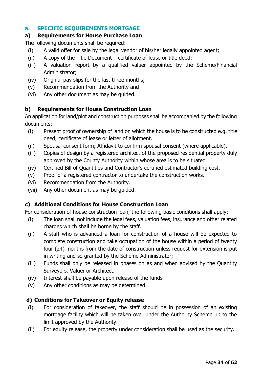## **a. SPECIFIC REQUIREMENTS MORTGAGE**

## **a) Requirements for House Purchase Loan**

The following documents shall be required:

- (i) A valid offer for sale by the legal vendor of his/her legally appointed agent;
- (ii) A copy of the Title Document certificate of lease or title deed;
- (iii) A valuation report by a qualified valuer appointed by the Scheme/Financial Administrator;
- (iv) Original pay slips for the last three months;
- (v) Recommendation from the Authority and
- (vi) Any other document as may be guided.

## **b) Requirements for House Construction Loan**

An application for land/plot and construction purposes shall be accompanied by the following documents:

- (i) Present proof of ownership of land on which the house is to be constructed e.g. title deed, certificate of lease or letter of allotment.
- (ii) Spousal consent form; Affidavit to confirm spousal consent (where applicable).
- (iii) Copies of design by a registered architect of the proposed residential property duly approved by the County Authority within whose area is to be situated
- (iv) Certified Bill of Quantities and Contractor's certified estimated building cost.
- (v) Proof of a registered contractor to undertake the construction works.
- (vi) Recommendation from the Authority.
- (vii) Any other document as may be guided.

## **c) Additional Conditions for House Construction Loan**

For consideration of house construction loan, the following basic conditions shall apply:-

- (i) The loan shall not include the legal fees, valuation fees, insurance and other related charges which shall be borne by the staff.
- (ii) A staff who is advanced a loan for construction of a house will be expected to complete construction and take occupation of the house within a period of twenty four (24) months from the date of construction unless request for extension is put in writing and so granted by the Scheme Administrator;
- (iii) Funds shall only be released in phases on as and when advised by the Quantity Surveyors, Valuer or Architect.
- (iv) Interest shall be payable upon release of the funds
- (v) Any other conditions as may be determined.

## **d) Conditions for Takeover or Equity release**

- (i) For consideration of takeover, the staff should be in possession of an existing mortgage facility which will be taken over under the Authority Scheme up to the limit approved by the Authority.
- (ii) For equity release, the property under consideration shall be used as the security.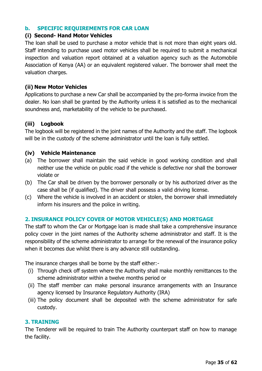## **b. SPECIFIC REQUIREMENTS FOR CAR LOAN**

#### **(i) Second- Hand Motor Vehicles**

The loan shall be used to purchase a motor vehicle that is not more than eight years old. Staff intending to purchase used motor vehicles shall be required to submit a mechanical inspection and valuation report obtained at a valuation agency such as the Automobile Association of Kenya (AA) or an equivalent registered valuer. The borrower shall meet the valuation charges.

#### **(ii) New Motor Vehicles**

Applications to purchase a new Car shall be accompanied by the pro-forma invoice from the dealer. No loan shall be granted by the Authority unless it is satisfied as to the mechanical soundness and, marketability of the vehicle to be purchased.

## **(iii) Logbook**

The logbook will be registered in the joint names of the Authority and the staff. The logbook will be in the custody of the scheme administrator until the loan is fully settled.

## **(iv) Vehicle Maintenance**

- (a) The borrower shall maintain the said vehicle in good working condition and shall neither use the vehicle on public road if the vehicle is defective nor shall the borrower violate or
- (b) The Car shall be driven by the borrower personally or by his authorized driver as the case shall be (if qualified). The driver shall possess a valid driving license.
- (c) Where the vehicle is involved in an accident or stolen, the borrower shall immediately inform his insurers and the police in writing.

## **2. INSURANCE POLICY COVER OF MOTOR VEHICLE(S) AND MORTGAGE**

The staff to whom the Car or Mortgage loan is made shall take a comprehensive insurance policy cover in the joint names of the Authority scheme administrator and staff. It is the responsibility of the scheme administrator to arrange for the renewal of the insurance policy when it becomes due whilst there is any advance still outstanding.

The insurance charges shall be borne by the staff either:-

- (i) Through check off system where the Authority shall make monthly remittances to the scheme administrator within a twelve months period or
- (ii) The staff member can make personal insurance arrangements with an Insurance agency licensed by Insurance Regulatory Authority (IRA)
- (iii) The policy document shall be deposited with the scheme administrator for safe custody.

#### **3. TRAINING**

The Tenderer will be required to train The Authority counterpart staff on how to manage the facility.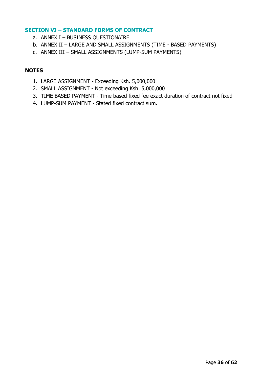#### <span id="page-35-0"></span>**SECTION VI – STANDARD FORMS OF CONTRACT**

- a. ANNEX I BUSINESS QUESTIONAIRE
- b. ANNEX II LARGE AND SMALL ASSIGNMENTS (TIME BASED PAYMENTS)
- c. ANNEX III SMALL ASSIGNMENTS (LUMP-SUM PAYMENTS)

#### **NOTES**

- 1. LARGE ASSIGNMENT Exceeding Ksh. 5,000,000
- 2. SMALL ASSIGNMENT Not exceeding Ksh. 5,000,000
- 3. TIME BASED PAYMENT Time based fixed fee exact duration of contract not fixed
- 4. LUMP-SUM PAYMENT Stated fixed contract sum.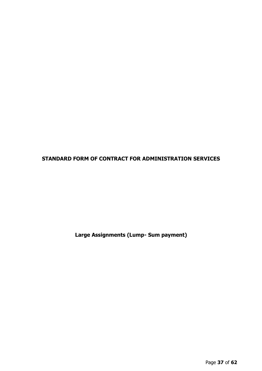**STANDARD FORM OF CONTRACT FOR ADMINISTRATION SERVICES**

**Large Assignments (Lump- Sum payment)**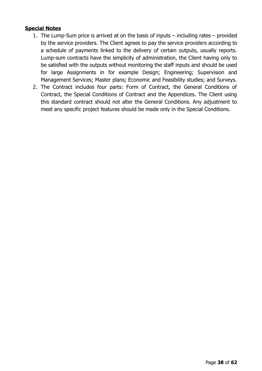#### **Special Notes**

- 1. The Lump-Sum price is arrived at on the basis of inputs including rates provided by the service providers. The Client agrees to pay the service providers according to a schedule of payments linked to the delivery of certain outputs, usually reports. Lump-sum contracts have the simplicity of administration, the Client having only to be satisfied with the outputs without monitoring the staff inputs and should be used for large Assignments in for example Design; Engineering; Supervision and Management Services; Master plans; Economic and Feasibility studies; and Surveys.
- 2. The Contract includes four parts: Form of Contract, the General Conditions of Contract, the Special Conditions of Contract and the Appendices. The Client using this standard contract should not alter the General Conditions. Any adjustment to meet any specific project features should be made only in the Special Conditions.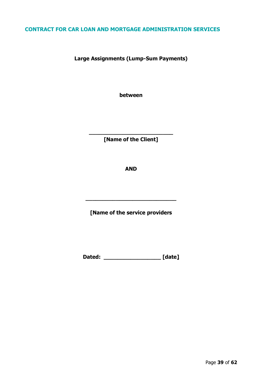## <span id="page-38-0"></span>**CONTRACT FOR CAR LOAN AND MORTGAGE ADMINISTRATION SERVICES**

**Large Assignments (Lump-Sum Payments)**

**between**

**\_\_\_\_\_\_\_\_\_\_\_\_\_\_\_\_\_\_\_\_\_\_\_\_\_ [Name of the Client]**

**AND**

**[Name of the service providers**

**\_\_\_\_\_\_\_\_\_\_\_\_\_\_\_\_\_\_\_\_\_\_\_\_\_\_\_**

**Dated: \_\_\_\_\_\_\_\_\_\_\_\_\_\_\_\_\_ [date]**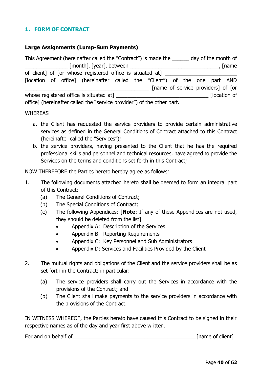## <span id="page-39-0"></span>**1. FORM OF CONTRACT**

## **Large Assignments (Lump-Sum Payments)**

This Agreement (hereinafter called the "Contract") is made the day of the month of \_\_\_\_\_\_\_\_\_\_\_\_\_\_\_ [month], [year], between \_\_\_\_\_\_\_\_\_\_\_\_\_\_\_\_\_\_\_\_\_\_\_\_\_\_\_\_\_\_\_, [name of client] of [or whose registered office is situated at] [location of office] (hereinafter called the "Client") of the one part AND \_\_\_\_\_\_\_\_\_\_\_\_\_\_\_\_\_\_\_\_\_\_\_\_\_\_\_\_\_\_\_\_\_\_\_\_\_\_\_\_\_\_\_ [name of service providers] of [or whose registered office is situated at] \_\_\_\_\_\_\_\_\_\_\_\_\_\_\_\_\_\_\_\_\_\_\_\_\_\_\_\_\_\_\_\_ [location of office] (hereinafter called the "service provider") of the other part.

#### **WHEREAS**

- a. the Client has requested the service providers to provide certain administrative services as defined in the General Conditions of Contract attached to this Contract (hereinafter called the "Services");
- b. the service providers, having presented to the Client that he has the required professional skills and personnel and technical resources, have agreed to provide the Services on the terms and conditions set forth in this Contract;

NOW THEREFORE the Parties hereto hereby agree as follows:

- 1. The following documents attached hereto shall be deemed to form an integral part of this Contract:
	- (a) The General Conditions of Contract;
	- (b) The Special Conditions of Contract;
	- (c) The following Appendices: [**Note**: If any of these Appendices are not used, they should be deleted from the list]
		- Appendix A: Description of the Services
		- Appendix B: Reporting Requirements
		- Appendix C: Key Personnel and Sub Administrators
		- Appendix D: Services and Facilities Provided by the Client
- 2. The mutual rights and obligations of the Client and the service providers shall be as set forth in the Contract; in particular:
	- (a) The service providers shall carry out the Services in accordance with the provisions of the Contract; and
	- (b) The Client shall make payments to the service providers in accordance with the provisions of the Contract.

IN WITNESS WHEREOF, the Parties hereto have caused this Contract to be signed in their respective names as of the day and year first above written.

For and on behalf of\_\_\_\_\_\_\_\_\_\_\_\_\_\_\_\_\_\_\_\_\_\_\_\_\_\_\_\_\_\_\_\_\_\_\_\_\_\_\_\_\_\_\_[name of client]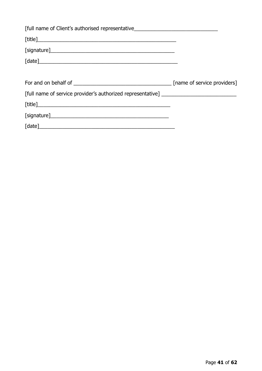| [full name of Client's authorised representative________________________________  |  |
|-----------------------------------------------------------------------------------|--|
| <u>[title]</u>                                                                    |  |
|                                                                                   |  |
|                                                                                   |  |
|                                                                                   |  |
| [full name of service provider's authorized representative] _____________________ |  |
|                                                                                   |  |
|                                                                                   |  |
|                                                                                   |  |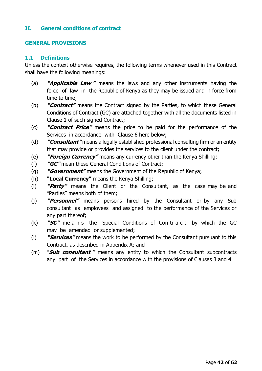## <span id="page-41-0"></span>**II. General conditions of contract**

## **GENERAL PROVISIONS**

## **1.1 Definitions**

Unless the context otherwise requires, the following terms whenever used in this Contract shall have the following meanings:

- (a) **"Applicable Law "** means the laws and any other instruments having the force of law in the Republic of Kenya as they may be issued and in force from time to time;
- (b) **"Contract"** means the Contract signed by the Parties, to which these General Conditions of Contract (GC) are attached together with all the documents listed in Clause 1 of such signed Contract;
- (c) **"Contract Price"** means the price to be paid for the performance of the Services in accordance with Clause 6 here below;
- (d) **"Consultant"** means a legally established professional consulting firm or an entity that may provide or provides the services to the client under the contract;
- (e) **"Foreign Currency"** means any currency other than the Kenya Shilling;
- (f) **"GC"** mean these General Conditions of Contract;
- (g) **"Government"** means the Government of the Republic of Kenya;
- (h) **"Local Currency"** means the Kenya Shilling;
- (i) **"Party"** means the Client or the Consultant, as the case may be and "Parties" means both of them;
- (j) **"Personnel"** means persons hired by the Consultant or by any Sub consultant as employees and assigned to the performance of the Services or any part thereof;
- (k) **"SC"** me a n s the Special Conditions of Con tr a c t by which the GC may be amended or supplemented;
- (l) **"Services"** means the work to be performed by the Consultant pursuant to this Contract, as described in Appendix A; and
- (m) "**Sub consultant "** means any entity to which the Consultant subcontracts any part of the Services in accordance with the provisions of Clauses 3 and 4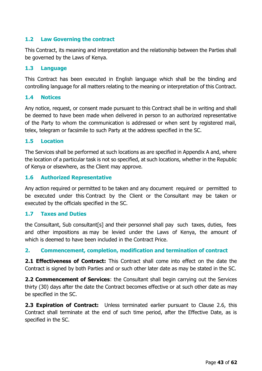## **1.2 Law Governing the contract**

This Contract, its meaning and interpretation and the relationship between the Parties shall be governed by the Laws of Kenya.

## **1.3 Language**

This Contract has been executed in English language which shall be the binding and controlling language for all matters relating to the meaning or interpretation of this Contract.

## **1.4 Notices**

Any notice, request, or consent made pursuant to this Contract shall be in writing and shall be deemed to have been made when delivered in person to an authorized representative of the Party to whom the communication is addressed or when sent by registered mail, telex, telegram or facsimile to such Party at the address specified in the SC.

## **1.5 Location**

The Services shall be performed at such locations as are specified in Appendix A and, where the location of a particular task is not so specified, at such locations, whether in the Republic of Kenya or elsewhere, as the Client may approve.

## **1.6 Authorized Representative**

Any action required or permitted to be taken and any document required or permitted to be executed under this Contract by the Client or the Consultant may be taken or executed by the officials specified in the SC.

## **1.7 Taxes and Duties**

the Consultant, Sub consultant[s] and their personnel shall pay such taxes, duties, fees and other impositions as may be levied under the Laws of Kenya, the amount of which is deemed to have been included in the Contract Price.

## **2. Commencement, completion, modification and termination of contract**

**2.1 Effectiveness of Contract:** This Contract shall come into effect on the date the Contract is signed by both Parties and or such other later date as may be stated in the SC.

**2.2 Commencement of Services**: the Consultant shall begin carrying out the Services thirty (30) days after the date the Contract becomes effective or at such other date as may be specified in the SC.

**2.3 Expiration of Contract:** Unless terminated earlier pursuant to Clause 2.6, this Contract shall terminate at the end of such time period, after the Effective Date, as is specified in the SC.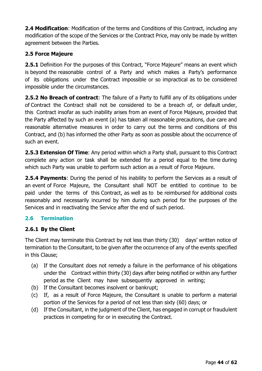**2.4 Modification**: Modification of the terms and Conditions of this Contract, including any modification of the scope of the Services or the Contract Price, may only be made by written agreement between the Parties.

## **2.5 Force Majeure**

**2.5.1** Definition For the purposes of this Contract, "Force Majeure" means an event which is beyond the reasonable control of a Party and which makes a Party's performance of its obligations under the Contract impossible or so impractical as to be considered impossible under the circumstances.

**2.5.2 No Breach of contract**: The failure of a Party to fulfill any of its obligations under of Contract the Contract shall not be considered to be a breach of, or default under, this Contract insofar as such inability arises from an event of Force Majeure, provided that the Party affected by such an event (a) has taken all reasonable precautions, due care and reasonable alternative measures in order to carry out the terms and conditions of this Contract, and (b) has informed the other Party as soon as possible about the occurrence of such an event.

**2.5.3 Extension Of Time**: Any period within which a Party shall, pursuant to this Contract complete any action or task shall be extended for a period equal to the time during which such Party was unable to perform such action as a result of Force Majeure.

**2.5.4 Payments**: During the period of his inability to perform the Services as a result of an event of Force Majeure, the Consultant shall NOT be entitled to continue to be paid under the terms of this Contract, as well as to be reimbursed for additional costs reasonably and necessarily incurred by him during such period for the purposes of the Services and in reactivating the Service after the end of such period.

## **2.6 Termination**

## **2.6.1 By the Client**

The Client may terminate this Contract by not less than thirty (30) days' written notice of termination to the Consultant, to be given after the occurrence of any of the events specified in this Clause;

- (a) If the Consultant does not remedy a failure in the performance of his obligations under the Contract within thirty (30) days after being notified or within any further period as the Client may have subsequently approved in writing;
- (b) If the Consultant becomes insolvent or bankrupt;
- (c) If, as a result of Force Majeure, the Consultant is unable to perform a material portion of the Services for a period of not less than sixty (60) days; or
- (d) If the Consultant, in the judgment of the Client, has engaged in corrupt or fraudulent practices in competing for or in executing the Contract.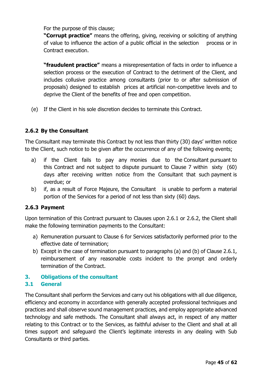For the purpose of this clause;

**"Corrupt practice"** means the offering, giving, receiving or soliciting of anything of value to influence the action of a public official in the selection process or in Contract execution.

**"fraudulent practice"** means a misrepresentation of facts in order to influence a selection process or the execution of Contract to the detriment of the Client, and includes collusive practice among consultants (prior to or after submission of proposals) designed to establish prices at artificial non-competitive levels and to deprive the Client of the benefits of free and open competition.

(e) If the Client in his sole discretion decides to terminate this Contract.

## **2.6.2 By the Consultant**

The Consultant may terminate this Contract by not less than thirty (30) days' written notice to the Client, such notice to be given after the occurrence of any of the following events;

- a) if the Client fails to pay any monies due to the Consultant pursuant to this Contract and not subject to dispute pursuant to Clause 7 within sixty (60) days after receiving written notice from the Consultant that such payment is overdue; or
- b) if, as a result of Force Majeure, the Consultant is unable to perform a material portion of the Services for a period of not less than sixty (60) days.

## **2.6.3 Payment**

Upon termination of this Contract pursuant to Clauses upon 2.6.1 or 2.6.2, the Client shall make the following termination payments to the Consultant:

- a) Remuneration pursuant to Clause 6 for Services satisfactorily performed prior to the effective date of termination;
- b) Except in the case of termination pursuant to paragraphs (a) and (b) of Clause 2.6.1, reimbursement of any reasonable costs incident to the prompt and orderly termination of the Contract.

## <span id="page-44-0"></span>**3. Obligations of the consultant**

## **3.1 General**

The Consultant shall perform the Services and carry out his obligations with all due diligence, efficiency and economy in accordance with generally accepted professional techniques and practices and shall observe sound management practices, and employ appropriate advanced technology and safe methods. The Consultant shall always act, in respect of any matter relating to this Contract or to the Services, as faithful adviser to the Client and shall at all times support and safeguard the Client's legitimate interests in any dealing with Sub Consultants or third parties.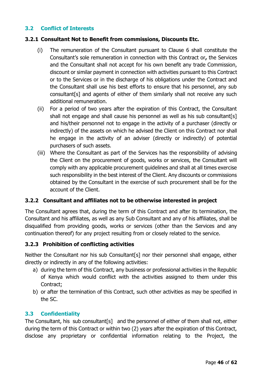## **3.2 Conflict of Interests**

#### **3.2.1 Consultant Not to Benefit from commissions, Discounts Etc.**

- (i) The remuneration of the Consultant pursuant to Clause 6 shall constitute the Consultant's sole remuneration in connection with this Contract or**,** the Services and the Consultant shall not accept for his own benefit any trade Commission, discount or similar payment in connection with activities pursuant to this Contract or to the Services or in the discharge of his obligations under the Contract and the Consultant shall use his best efforts to ensure that his personnel, any sub consultant[s] and agents of either of them similarly shall not receive any such additional remuneration.
- (ii) For a period of two years after the expiration of this Contract, the Consultant shall not engage and shall cause his personnel as well as his sub consultant[s] and his/their personnel not to engage in the activity of a purchaser (directly or indirectly) of the assets on which he advised the Client on this Contract nor shall he engage in the activity of an adviser (directly or indirectly) of potential purchasers of such assets.
- (iii) Where the Consultant as part of the Services has the responsibility of advising the Client on the procurement of goods, works or services, the Consultant will comply with any applicable procurement guidelines and shall at all times exercise such responsibility in the best interest of the Client. Any discounts or commissions obtained by the Consultant in the exercise of such procurement shall be for the account of the Client.

#### **3.2.2 Consultant and affiliates not to be otherwise interested in project**

The Consultant agrees that, during the term of this Contract and after its termination, the Consultant and his affiliates, as well as any Sub Consultant and any of his affiliates, shall be disqualified from providing goods, works or services (other than the Services and any continuation thereof) for any project resulting from or closely related to the service.

## **3.2.3 Prohibition of conflicting activities**

Neither the Consultant nor his sub Consultant[s] nor their personnel shall engage, either directly or indirectly in any of the following activities:

- a) during the term of this Contract, any business or professional activities in the Republic of Kenya which would conflict with the activities assigned to them under this Contract;
- b) or after the termination of this Contract, such other activities as may be specified in the SC.

#### **3.3 Confidentiality**

The Consultant, his sub consultant[s] and the personnel of either of them shall not, either during the term of this Contract or within two (2) years after the expiration of this Contract, disclose any proprietary or confidential information relating to the Project, the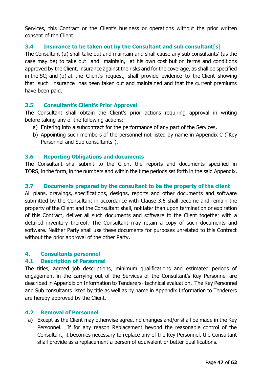Services, this Contract or the Client's business or operations without the prior written consent of the Client.

## **3.4 Insurance to be taken out by the Consultant and sub consultant[s]**

The Consultant (a) shall take out and maintain and shall cause any sub consultants' (as the case may be) to take out and maintain, at his own cost but on terms and conditions approved by the Client, insurance against the risks and for the coverage, as shall be specified in the SC; and (b) at the Client's request, shall provide evidence to the Client showing that such insurance has been taken out and maintained and that the current premiums have been paid.

## **3.5 Consultant's Client's Prior Approval**

The Consultant shall obtain the Client's prior actions requiring approval in writing before taking any of the following actions;

- a) Entering into a subcontract for the performance of any part of the Services,
- b) Appointing such members of the personnel not listed by name in Appendix C ("Key Personnel and Sub consultants").

## **3.6 Reporting Obligations and documents**

The Consultant shall submit to the Client the reports and documents specified in TORS, in the form, in the numbers and within the time periods set forth in the said Appendix.

## **3.7 Documents prepared by the consultant to be the property of the client**

All plans, drawings, specifications, designs, reports and other documents and software submitted by the Consultant in accordance with Clause 3.6 shall become and remain the property of the Client and the Consultant shall, not later than upon termination or expiration of this Contract, deliver all such documents and software to the Client together with a detailed inventory thereof. The Consultant may retain a copy of such documents and software. Neither Party shall use these documents for purposes unrelated to this Contract without the prior approval of the other Party.

## <span id="page-46-0"></span>**4. Consultants personnel**

## **4.1 Description of Personnel**

The titles, agreed job descriptions, minimum qualifications and estimated periods of engagement in the carrying out of the Services of the Consultant's Key Personnel are described in Appendix on Information to Tenderers- technical evaluation. The Key Personnel and Sub consultants listed by title as well as by name in Appendix Information to Tenderers are hereby approved by the Client.

## **4.2 Removal of Personnel**

a) Except as the Client may otherwise agree, no changes and/or shall be made in the Key Personnel. If for any reason Replacement beyond the reasonable control of the Consultant, it becomes necessary to replace any of the Key Personnel, the Consultant shall provide as a replacement a person of equivalent or better qualifications.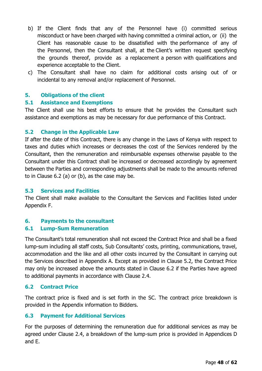- b) If the Client finds that any of the Personnel have (i) committed serious misconduct or have been charged with having committed a criminal action, or (ii) the Client has reasonable cause to be dissatisfied with the performance of any of the Personnel, then the Consultant shall, at the Client's written request specifying the grounds thereof, provide as a replacement a person with qualifications and experience acceptable to the Client.
- c) The Consultant shall have no claim for additional costs arising out of or incidental to any removal and/or replacement of Personnel.

## <span id="page-47-0"></span>**5. Obligations of the client**

#### **5.1 Assistance and Exemptions**

The Client shall use his best efforts to ensure that he provides the Consultant such assistance and exemptions as may be necessary for due performance of this Contract.

## **5.2 Change in the Applicable Law**

If after the date of this Contract, there is any change in the Laws of Kenya with respect to taxes and duties which increases or decreases the cost of the Services rendered by the Consultant, then the remuneration and reimbursable expenses otherwise payable to the Consultant under this Contract shall be increased or decreased accordingly by agreement between the Parties and corresponding adjustments shall be made to the amounts referred to in Clause 6.2 (a) or (b), as the case may be.

## **5.3 Services and Facilities**

The Client shall make available to the Consultant the Services and Facilities listed under Appendix F.

## <span id="page-47-1"></span>**6. Payments to the consultant**

#### **6.1 Lump-Sum Remuneration**

The Consultant's total remuneration shall not exceed the Contract Price and shall be a fixed lump-sum including all staff costs, Sub Consultants' costs, printing, communications, travel, accommodation and the like and all other costs incurred by the Consultant in carrying out the Services described in Appendix A. Except as provided in Clause 5.2, the Contract Price may only be increased above the amounts stated in Clause 6.2 if the Parties have agreed to additional payments in accordance with Clause 2.4.

## **6.2 Contract Price**

The contract price is fixed and is set forth in the SC. The contract price breakdown is provided in the Appendix information to Bidders.

#### **6.3 Payment for Additional Services**

For the purposes of determining the remuneration due for additional services as may be agreed under Clause 2.4, a breakdown of the lump-sum price is provided in Appendices D and E.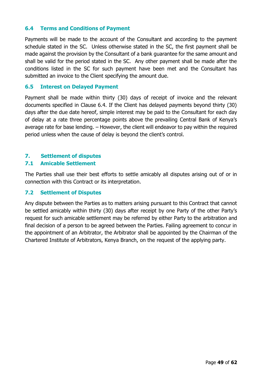## **6.4 Terms and Conditions of Payment**

Payments will be made to the account of the Consultant and according to the payment schedule stated in the SC. Unless otherwise stated in the SC, the first payment shall be made against the provision by the Consultant of a bank guarantee for the same amount and shall be valid for the period stated in the SC. Any other payment shall be made after the conditions listed in the SC for such payment have been met and the Consultant has submitted an invoice to the Client specifying the amount due.

#### **6.5 Interest on Delayed Payment**

Payment shall be made within thirty (30) days of receipt of invoice and the relevant documents specified in Clause 6.4. If the Client has delayed payments beyond thirty (30) days after the due date hereof, simple interest may be paid to the Consultant for each day of delay at a rate three percentage points above the prevailing Central Bank of Kenya's average rate for base lending. – However, the client will endeavor to pay within the required period unless when the cause of delay is beyond the client's control.

#### <span id="page-48-0"></span>**7. Settlement of disputes**

## **7.1 Amicable Settlement**

The Parties shall use their best efforts to settle amicably all disputes arising out of or in connection with this Contract or its interpretation.

#### **7.2 Settlement of Disputes**

Any dispute between the Parties as to matters arising pursuant to this Contract that cannot be settled amicably within thirty (30) days after receipt by one Party of the other Party's request for such amicable settlement may be referred by either Party to the arbitration and final decision of a person to be agreed between the Parties. Failing agreement to concur in the appointment of an Arbitrator, the Arbitrator shall be appointed by the Chairman of the Chartered Institute of Arbitrators, Kenya Branch, on the request of the applying party.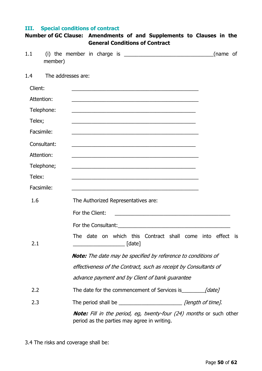# <span id="page-49-0"></span>**III. Special conditions of contract**

|                           | Number of GC Clause: Amendments of and Supplements to Clauses in the<br><b>General Conditions of Contract</b>                                                                                                                                                                               |          |
|---------------------------|---------------------------------------------------------------------------------------------------------------------------------------------------------------------------------------------------------------------------------------------------------------------------------------------|----------|
| 1.1<br>member)            | (i) the member in charge is $\frac{1}{2}$ = $\frac{1}{2}$ = $\frac{1}{2}$ = $\frac{1}{2}$ = $\frac{1}{2}$ = $\frac{1}{2}$ = $\frac{1}{2}$ = $\frac{1}{2}$ = $\frac{1}{2}$ = $\frac{1}{2}$ = $\frac{1}{2}$ = $\frac{1}{2}$ = $\frac{1}{2}$ = $\frac{1}{2}$ = $\frac{1}{2}$ = $\frac{1}{2}$ = | (name of |
| The addresses are:<br>1.4 |                                                                                                                                                                                                                                                                                             |          |
| Client:                   |                                                                                                                                                                                                                                                                                             |          |
| Attention:                |                                                                                                                                                                                                                                                                                             |          |
| Telephone:                |                                                                                                                                                                                                                                                                                             |          |
| Telex;                    | <u> 1989 - Johann Stoff, amerikansk politiker (d. 1989)</u>                                                                                                                                                                                                                                 |          |
| Facsimile:                |                                                                                                                                                                                                                                                                                             |          |
| Consultant:               | <u> 1990 - Jan James James James James James James James James James James James James James James James James J</u>                                                                                                                                                                        |          |
| Attention:                | and the control of the control of the control of the control of the control of the control of the control of the                                                                                                                                                                            |          |
| Telephone;                |                                                                                                                                                                                                                                                                                             |          |
| Telex:                    |                                                                                                                                                                                                                                                                                             |          |
| Facsimile:                |                                                                                                                                                                                                                                                                                             |          |
| 1.6                       | The Authorized Representatives are:                                                                                                                                                                                                                                                         |          |
|                           | For the Client:                                                                                                                                                                                                                                                                             |          |
|                           |                                                                                                                                                                                                                                                                                             |          |
| 2.1                       | The date on which this Contract shall come into effect is<br>$\_$ [date]                                                                                                                                                                                                                    |          |
|                           | <b>Note:</b> The date may be specified by reference to conditions of                                                                                                                                                                                                                        |          |
|                           | effectiveness of the Contract, such as receipt by Consultants of                                                                                                                                                                                                                            |          |
|                           | advance payment and by Client of bank guarantee                                                                                                                                                                                                                                             |          |
| 2.2                       |                                                                                                                                                                                                                                                                                             |          |
| 2.3                       |                                                                                                                                                                                                                                                                                             |          |
|                           | <b>Note:</b> Fill in the period, eg, twenty-four (24) months or such other<br>period as the parties may agree in writing.                                                                                                                                                                   |          |

3.4 The risks and coverage shall be: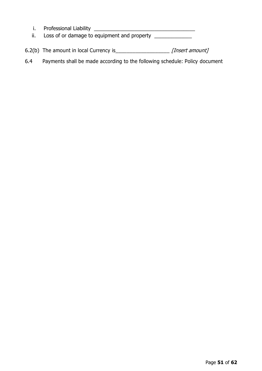- i. Professional Liability \_\_\_\_\_\_\_\_\_\_\_\_\_\_\_\_\_\_\_\_\_\_\_\_\_\_\_\_\_\_\_\_\_\_\_ ii. Loss of or damage to equipment and property \_\_\_\_\_\_\_\_\_\_\_\_\_\_
- 6.2(b) The amount in local Currency is\_\_\_\_\_\_\_\_\_\_\_\_\_\_\_\_\_\_\_\_\_\_\_\_ [Insert amount]
- 6.4 Payments shall be made according to the following schedule: Policy document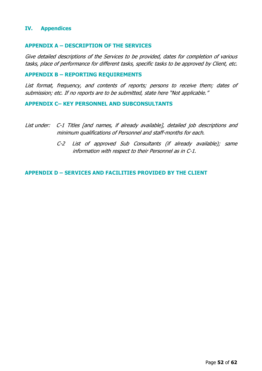## <span id="page-51-0"></span>**IV. Appendices**

#### **APPENDIX A – DESCRIPTION OF THE SERVICES**

Give detailed descriptions of the Services to be provided, dates for completion of various tasks, place of performance for different tasks, specific tasks to be approved by Client, etc.

#### **APPENDIX B – REPORTING REQUIREMENTS**

List format, frequency, and contents of reports; persons to receive them; dates of submission; etc. If no reports are to be submitted, state here "Not applicable."

#### **APPENDIX C– KEY PERSONNEL AND SUBCONSULTANTS**

- List under: C-1 Titles [and names, if already available], detailed job descriptions and minimum qualifications of Personnel and staff-months for each.
	- C-2 List of approved Sub Consultants (if already available); same information with respect to their Personnel as in C-1.

#### **APPENDIX D – SERVICES AND FACILITIES PROVIDED BY THE CLIENT**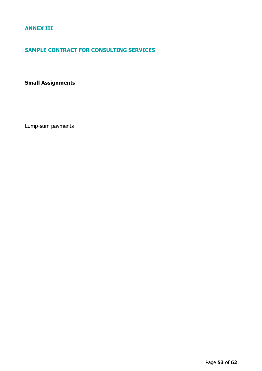## **ANNEX III**

## **SAMPLE CONTRACT FOR CONSULTING SERVICES**

**Small Assignments**

Lump-sum payments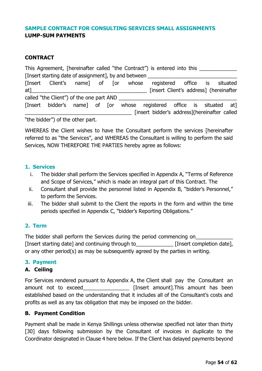## <span id="page-53-0"></span>**SAMPLE CONTRACT FOR CONSULTING SERVICES SMALL ASSIGNMENTS LUMP-SUM PAYMENTS**

## **CONTRACT**

This Agreement, [hereinafter called "the Contract") is entered into this [Insert starting date of assignment], by and between [Insert Client's name] of [or whose registered office is situated at] at a controlled the controller controller the controller client's address] (hereinafter called "the Client") of the one part AND \_ [Insert bidder's name] of [or whose registered office is situated at] \_\_\_\_\_\_\_\_\_\_\_\_\_\_\_\_\_\_\_\_\_\_\_\_\_\_\_\_\_\_\_\_\_\_\_\_\_ [insert bidder's address](hereinafter called

"the bidder") of the other part.

WHEREAS the Client wishes to have the Consultant perform the services [hereinafter referred to as "the Services", and WHEREAS the Consultant is willing to perform the said Services, NOW THEREFORE THE PARTIES hereby agree as follows:

## **1. Services**

- i. The bidder shall perform the Services specified in Appendix A, "Terms of Reference and Scope of Services," which is made an integral part of this Contract. The
- ii. Consultant shall provide the personnel listed in Appendix B, "bidder's Personnel," to perform the Services.
- iii. The bidder shall submit to the Client the reports in the form and within the time periods specified in Appendix C, "bidder's Reporting Obligations."

## **2. Term**

The bidder shall perform the Services during the period commencing on [Insert starting date] and continuing through to\_\_\_\_\_\_\_\_\_\_\_\_\_ [Insert completion date], or any other period(s) as may be subsequently agreed by the parties in writing.

## **3. Payment**

## **A. Ceiling**

For Services rendered pursuant to Appendix A, the Client shall pay the Consultant an amount not to exceed\_\_\_\_\_\_\_\_\_\_\_\_\_\_\_\_ [Insert amount].This amount has been established based on the understanding that it includes all of the Consultant's costs and profits as well as any tax obligation that may be imposed on the bidder.

## **B. Payment Condition**

Payment shall be made in Kenya Shillings unless otherwise specified not later than thirty [30] days following submission by the Consultant of invoices in duplicate to the Coordinator designated in Clause 4 here below. If the Client has delayed payments beyond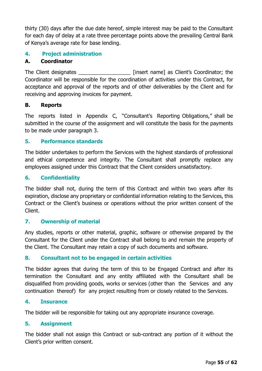thirty (30) days after the due date hereof, simple interest may be paid to the Consultant for each day of delay at a rate three percentage points above the prevailing Central Bank of Kenya's average rate for base lending.

## **4. Project administration**

## **A. Coordinator**

The Client designates The Client designates and the Client's Coordinator; the Coordinator will be responsible for the coordination of activities under this Contract, for acceptance and approval of the reports and of other deliverables by the Client and for receiving and approving invoices for payment.

## **B. Reports**

The reports listed in Appendix C, "Consultant's Reporting Obligations," shall be submitted in the course of the assignment and will constitute the basis for the payments to be made under paragraph 3.

## **5. Performance standards**

The bidder undertakes to perform the Services with the highest standards of professional and ethical competence and integrity. The Consultant shall promptly replace any employees assigned under this Contract that the Client considers unsatisfactory.

## **6. Confidentiality**

The bidder shall not, during the term of this Contract and within two years after its expiration, disclose any proprietary or confidential information relating to the Services, this Contract or the Client's business or operations without the prior written consent of the Client.

## **7. Ownership of material**

Any studies, reports or other material, graphic, software or otherwise prepared by the Consultant for the Client under the Contract shall belong to and remain the property of the Client. The Consultant may retain a copy of such documents and software.

## **8. Consultant not to be engaged in certain activities**

The bidder agrees that during the term of this to be Engaged Contract and after its termination the Consultant and any entity affiliated with the Consultant shall be disqualified from providing goods, works or services (other than the Services and any continuation thereof) for any project resulting from or closely related to the Services.

## **4. Insurance**

The bidder will be responsible for taking out any appropriate insurance coverage.

## **5. Assignment**

The bidder shall not assign this Contract or sub-contract any portion of it without the Client's prior written consent.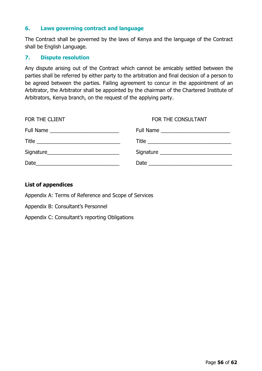## **6. Laws governing contract and language**

The Contract shall be governed by the laws of Kenya and the language of the Contract shall be English Language.

#### **7. Dispute resolution**

Any dispute arising out of the Contract which cannot be amicably settled between the parties shall be referred by either party to the arbitration and final decision of a person to be agreed between the parties. Failing agreement to concur in the appointment of an Arbitrator, the Arbitrator shall be appointed by the chairman of the Chartered Institute of Arbitrators, Kenya branch, on the request of the applying party.

| FOR THE CLIENT                          | FOR THE CONSULTANT |
|-----------------------------------------|--------------------|
| Full Name _____________________________ |                    |
|                                         |                    |
|                                         |                    |
|                                         |                    |

#### **List of appendices**

Appendix A: Terms of Reference and Scope of Services

Appendix B: Consultant's Personnel

Appendix C: Consultant's reporting Obligations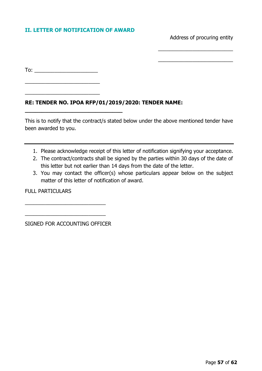## <span id="page-56-0"></span>**II. LETTER OF NOTIFICATION OF AWARD**

Address of procuring entity

\_\_\_\_\_\_\_\_\_\_\_\_\_\_\_\_\_\_\_\_\_\_\_\_\_\_

\_\_\_\_\_\_\_\_\_\_\_\_\_\_\_\_\_\_\_\_\_\_\_\_\_\_

To: \_\_\_\_\_\_\_\_\_\_\_\_\_\_\_\_\_\_\_\_\_\_

\_\_\_\_\_\_\_\_\_\_\_\_\_\_\_\_\_\_\_\_\_\_\_\_\_\_

\_\_\_\_\_\_\_\_\_\_\_\_\_\_\_\_\_\_\_\_\_\_\_\_\_\_

**\_\_\_\_\_\_\_\_\_\_\_\_\_\_\_\_\_\_\_\_\_\_\_\_\_\_\_\_\_**

## **RE: TENDER NO. IPOA RFP/01/2019/2020: TENDER NAME:**

This is to notify that the contract/s stated below under the above mentioned tender have been awarded to you.

- 1. Please acknowledge receipt of this letter of notification signifying your acceptance.
- 2. The contract/contracts shall be signed by the parties within 30 days of the date of this letter but not earlier than 14 days from the date of the letter.
- 3. You may contact the officer(s) whose particulars appear below on the subject matter of this letter of notification of award.

FULL PARTICULARS

SIGNED FOR ACCOUNTING OFFICER

\_\_\_\_\_\_\_\_\_\_\_\_\_\_\_\_\_\_\_\_\_\_\_\_\_\_\_\_

\_\_\_\_\_\_\_\_\_\_\_\_\_\_\_\_\_\_\_\_\_\_\_\_\_\_\_\_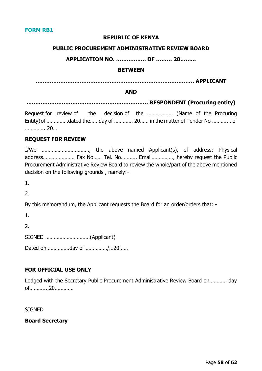#### **REPUBLIC OF KENYA**

#### <span id="page-57-0"></span>**PUBLIC PROCUREMENT ADMINISTRATIVE REVIEW BOARD**

**APPLICATION NO. …………….. OF ……… 20……...**

#### **BETWEEN**

**……………………………………………………………………………… APPLICANT**

#### **AND**

**…………………………………………………………… RESPONDENT (Procuring entity)**

Request for review of the decision of the ................... (Name of the Procuring Entity)of ……………dated the……day of …………. 20…… in the matter of Tender No ………..…of ………….. 20…

#### **REQUEST FOR REVIEW**

I/We ……………………………, the above named Applicant(s), of address: Physical address…………………. Fax No…… Tel. No…….…. Email……………, hereby request the Public Procurement Administrative Review Board to review the whole/part of the above mentioned decision on the following grounds , namely:-

1.

2.

By this memorandum, the Applicant requests the Board for an order/orders that: -

1.

2.

SIGNED ………………………….(Applicant)

Dated on…………….day of ……………/…20……

## **FOR OFFICIAL USE ONLY**

Lodged with the Secretary Public Procurement Administrative Review Board on………… day of………....20….………

SIGNED

**Board Secretary**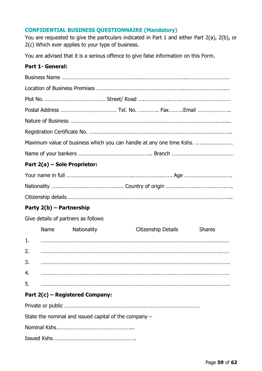## <span id="page-58-0"></span>**CONFIDENTIAL BUSINESS QUESTIONNAIRE (Mandatory)**

You are requested to give the particulars indicated in Part 1 and either Part 2(a), 2(b), or 2(c) Which ever applies to your type of business.

You are advised that it is a serious offence to give false information on this Form.

## **Part 1- General:**

|    |                              |                                     | Maximum value of business which you can handle at any one time Kshs. |               |
|----|------------------------------|-------------------------------------|----------------------------------------------------------------------|---------------|
|    |                              |                                     |                                                                      |               |
|    | Part 2(a) - Sole Proprietor: |                                     |                                                                      |               |
|    |                              |                                     |                                                                      |               |
|    |                              |                                     |                                                                      |               |
|    |                              |                                     |                                                                      |               |
|    | Party 2(b) - Partnership     |                                     |                                                                      |               |
|    |                              | Give details of partners as follows |                                                                      |               |
|    | Name                         | Nationality                         | Citizenship Details                                                  | <b>Shares</b> |
| 1. |                              |                                     |                                                                      |               |
| 2. |                              |                                     |                                                                      |               |
| 3. |                              |                                     |                                                                      |               |
| 4. |                              |                                     |                                                                      |               |
| 5. |                              |                                     |                                                                      |               |

## **Part 2(c) – Registered Company:**

Private or public …………………………………………………….……………………………

State the nominal and issued capital of the company –

Nominal Kshs……………………………………………...

Issued Kshs………………………………………………….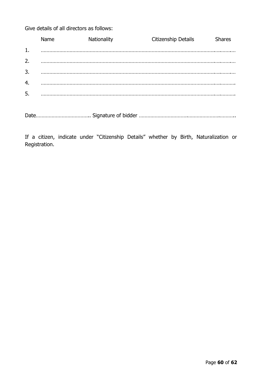Give details of all directors as follows:

|    | Name | Nationality | Citizenship Details | <b>Shares</b> |
|----|------|-------------|---------------------|---------------|
| 1. |      |             |                     |               |
| 2. |      |             |                     |               |
| 3. |      |             |                     |               |
| 4. |      |             |                     |               |
| 5. |      |             |                     |               |
|    |      |             |                     |               |
|    |      |             |                     |               |

If a citizen, indicate under "Citizenship Details" whether by Birth, Naturalization or Registration.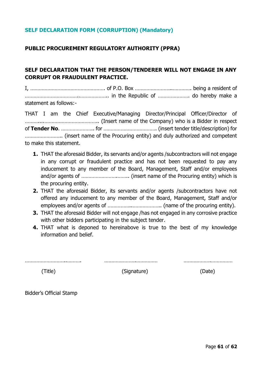## <span id="page-60-0"></span>**SELF DECLARATION FORM (CORRUPTION) (Mandatory)**

## **PUBLIC PROCUREMENT REGULATORY AUTHORITY (PPRA)**

## **SELF DECLARATION THAT THE PERSON/TENDERER WILL NOT ENGAGE IN ANY CORRUPT OR FRAUDULENT PRACTICE.**

I, ……………………………………………. of P.O. Box ……………………..…………. being a resident of ………………………………..……………….. in the Republic of …………………. do hereby make a statement as follows:-

THAT I am the Chief Executive/Managing Director/Principal Officer/Director of ………....……………………………….. (Insert name of the Company) who is a Bidder in respect of **Tender No**. ………………….. for ………………………………. (insert tender title/description) for …………………….. (insert name of the Procuring entity) and duly authorized and competent to make this statement.

- **1.** THAT the aforesaid Bidder, its servants and/or agents /subcontractors will not engage in any corrupt or fraudulent practice and has not been requested to pay any inducement to any member of the Board, Management, Staff and/or employees and/or agents of …………………….…….. (insert name of the Procuring entity) which is the procuring entity.
- **2.** THAT the aforesaid Bidder, its servants and/or agents /subcontractors have not offered any inducement to any member of the Board, Management, Staff and/or employees and/or agents of ……………..……………….. (name of the procuring entity).
- **3.** THAT the aforesaid Bidder will not engage /has not engaged in any corrosive practice with other bidders participating in the subject tender.
- **4.** THAT what is deponed to hereinabove is true to the best of my knowledge information and belief.

………………………..………. ………………….…………… ……………….……………

(Title) (Signature) (Date)

Bidder's Official Stamp